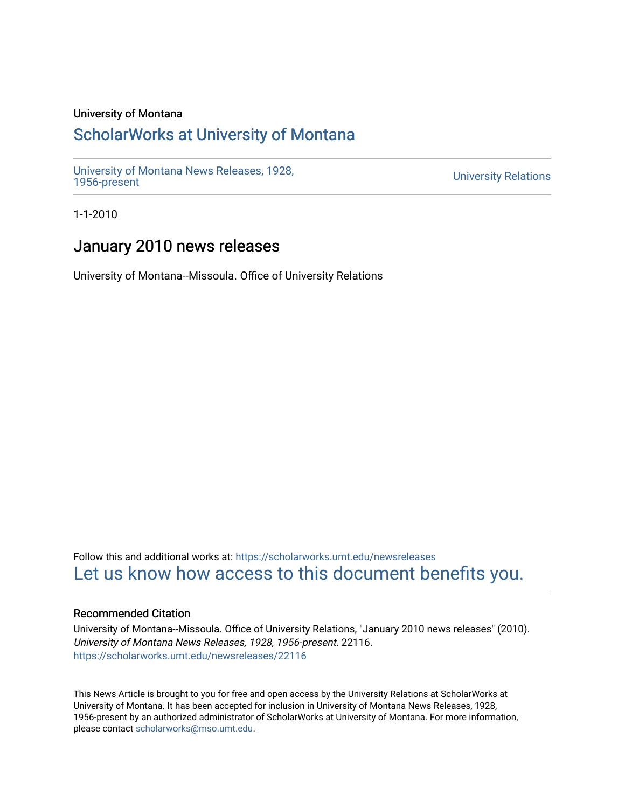# University of Montana

# [ScholarWorks at University of Montana](https://scholarworks.umt.edu/)

[University of Montana News Releases, 1928,](https://scholarworks.umt.edu/newsreleases) 

**University Relations** 

1-1-2010

# January 2010 news releases

University of Montana--Missoula. Office of University Relations

Follow this and additional works at: [https://scholarworks.umt.edu/newsreleases](https://scholarworks.umt.edu/newsreleases?utm_source=scholarworks.umt.edu%2Fnewsreleases%2F22116&utm_medium=PDF&utm_campaign=PDFCoverPages) [Let us know how access to this document benefits you.](https://goo.gl/forms/s2rGfXOLzz71qgsB2) 

# Recommended Citation

University of Montana--Missoula. Office of University Relations, "January 2010 news releases" (2010). University of Montana News Releases, 1928, 1956-present. 22116. [https://scholarworks.umt.edu/newsreleases/22116](https://scholarworks.umt.edu/newsreleases/22116?utm_source=scholarworks.umt.edu%2Fnewsreleases%2F22116&utm_medium=PDF&utm_campaign=PDFCoverPages) 

This News Article is brought to you for free and open access by the University Relations at ScholarWorks at University of Montana. It has been accepted for inclusion in University of Montana News Releases, 1928, 1956-present by an authorized administrator of ScholarWorks at University of Montana. For more information, please contact [scholarworks@mso.umt.edu.](mailto:scholarworks@mso.umt.edu)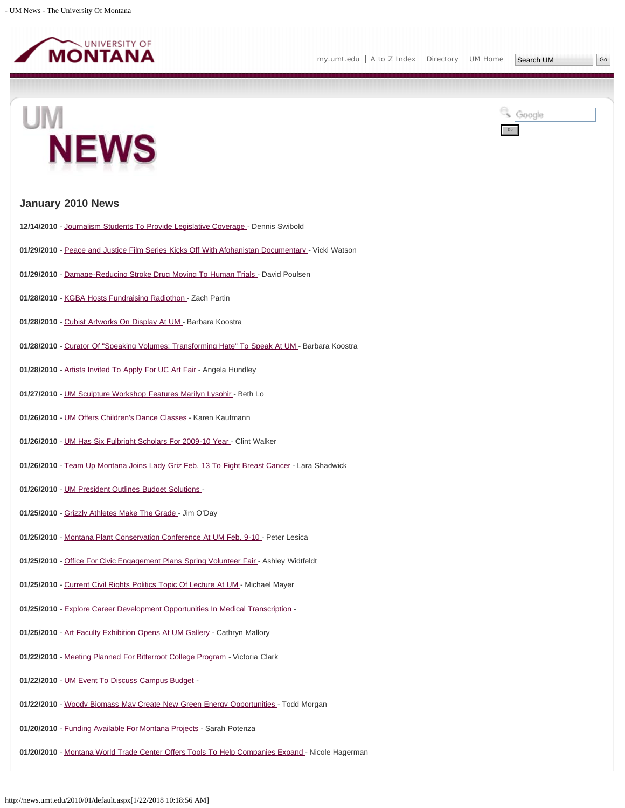

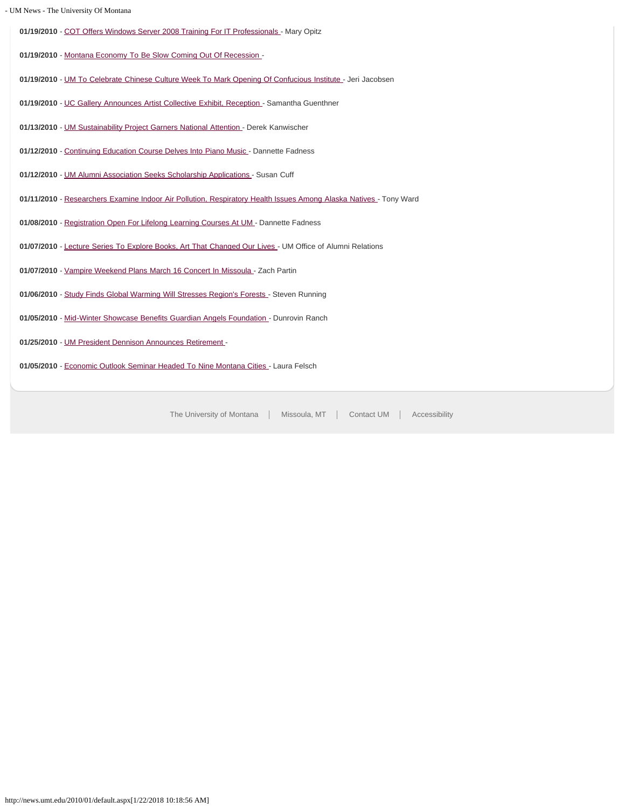|  |  | - UM News - The University Of Montana |
|--|--|---------------------------------------|
|  |  |                                       |

- 01/19/2010 - [COT Offers Windows Server 2008 Training For IT Professionals](#page-30-0)  Mary Opitz
- **01/19/2010** - [Montana Economy To Be Slow Coming Out Of Recession -](#page-31-0)
- 01/19/2010 - [UM To Celebrate Chinese Culture Week To Mark Opening Of Confucious Institute](#page-33-0)  Jeri Jacobsen
- 01/19/2010 - [UC Gallery Announces Artist Collective Exhibit, Reception](#page-34-0)  Samantha Guenthner
- 01/13/2010 - [UM Sustainability Project Garners National Attention](#page-35-0)  Derek Kanwischer
- 01/12/2010 - [Continuing Education Course Delves Into Piano Music -](#page-36-0) Dannette Fadness
- 01/12/2010 - [UM Alumni Association Seeks Scholarship Applications -](#page-37-0) Susan Cuff
- 01/11/2010 - [Researchers Examine Indoor Air Pollution, Respiratory Health Issues Among Alaska Natives -](#page-38-0) Tony Ward
- 01/08/2010 - [Registration Open For Lifelong Learning Courses At UM -](#page-39-0) Dannette Fadness
- **01/07/2010** - [Lecture Series To Explore Books, Art That Changed Our Lives -](#page-41-0) UM Office of Alumni Relations
- 01/07/2010 - [Vampire Weekend Plans March 16 Concert In Missoula -](#page-42-0) Zach Partin
- **01/06/2010** - [Study Finds Global Warming Will Stresses Region's Forests -](#page-43-0) Steven Running
- 01/05/2010 - [Mid-Winter Showcase Benefits Guardian Angels Foundation](#page-45-0)  Dunrovin Ranch
- **01/25/2010** - [UM President Dennison Announces Retirement -](#page-46-0)
- 01/05/2010 - [Economic Outlook Seminar Headed To Nine Montana Cities](#page-47-0)  Laura Felsch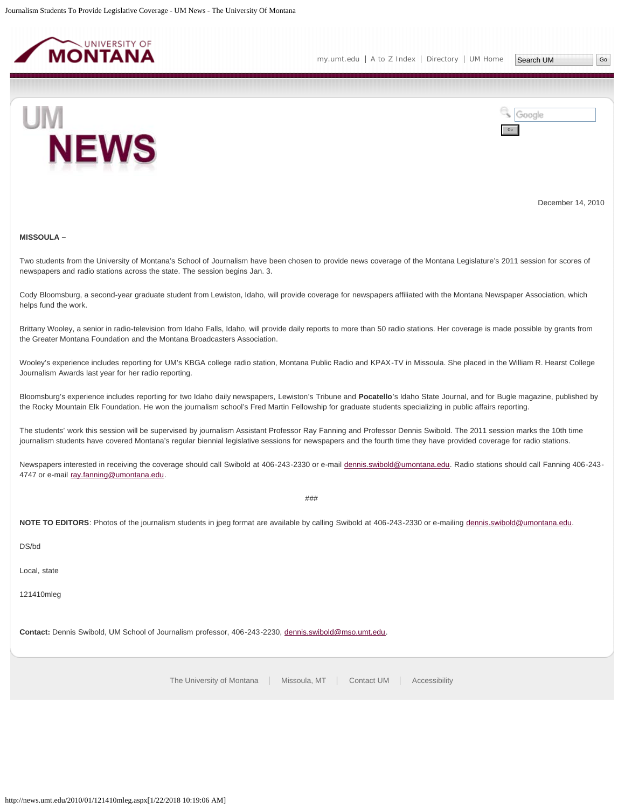<span id="page-3-0"></span>

Google



December 14, 2010

#### **MISSOULA –**

Two students from the University of Montana's School of Journalism have been chosen to provide news coverage of the Montana Legislature's 2011 session for scores of newspapers and radio stations across the state. The session begins Jan. 3.

Cody Bloomsburg, a second-year graduate student from Lewiston, Idaho, will provide coverage for newspapers affiliated with the Montana Newspaper Association, which helps fund the work.

Brittany Wooley, a senior in radio-television from Idaho Falls, Idaho, will provide daily reports to more than 50 radio stations. Her coverage is made possible by grants from the Greater Montana Foundation and the Montana Broadcasters Association.

Wooley's experience includes reporting for UM's KBGA college radio station, Montana Public Radio and KPAX-TV in Missoula. She placed in the William R. Hearst College Journalism Awards last year for her radio reporting.

Bloomsburg's experience includes reporting for two Idaho daily newspapers, Lewiston's Tribune and **Pocatello**'s Idaho State Journal, and for Bugle magazine, published by the Rocky Mountain Elk Foundation. He won the journalism school's Fred Martin Fellowship for graduate students specializing in public affairs reporting.

The students' work this session will be supervised by journalism Assistant Professor Ray Fanning and Professor Dennis Swibold. The 2011 session marks the 10th time journalism students have covered Montana's regular biennial legislative sessions for newspapers and the fourth time they have provided coverage for radio stations.

Newspapers interested in receiving the coverage should call Swibold at 406-243-2330 or e-mail [dennis.swibold@umontana.edu.](mailto:dennis.swibold@umontana.edu) Radio stations should call Fanning 406-2434747 or e-mail [ray.fanning@umontana.edu](mailto:ray.fanning@umontana.edu).

###

NOTE TO EDITORS: Photos of the journalism students in jpeg format are available by calling Swibold at 406-243-2330 or e-mailing [dennis.swibold@umontana.edu.](mailto:dennis.swibold@umontana.edu)

DS/bd

Local, state

121410mleg

**Contact:** Dennis Swibold, UM School of Journalism professor, 406-243-2230, [dennis.swibold@mso.umt.edu.](mailto:dennis.swibold@mso.umt.edu)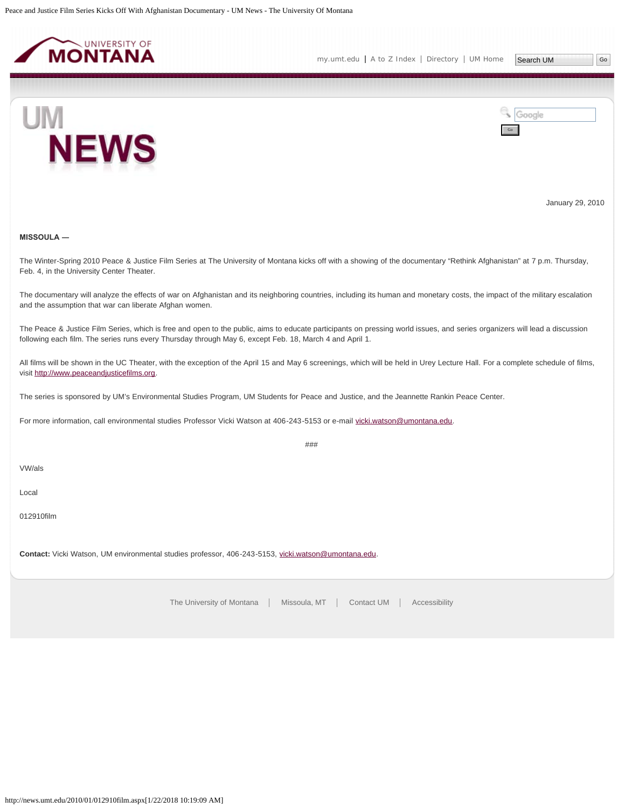<span id="page-4-0"></span>

Google



Go

January 29, 2010

# **MISSOULA ―**

The Winter-Spring 2010 Peace & Justice Film Series at The University of Montana kicks off with a showing of the documentary "Rethink Afghanistan" at 7 p.m. Thursday, Feb. 4, in the University Center Theater.

The documentary will analyze the effects of war on Afghanistan and its neighboring countries, including its human and monetary costs, the impact of the military escalation and the assumption that war can liberate Afghan women.

The Peace & Justice Film Series, which is free and open to the public, aims to educate participants on pressing world issues, and series organizers will lead a discussion following each film. The series runs every Thursday through May 6, except Feb. 18, March 4 and April 1.

All films will be shown in the UC Theater, with the exception of the April 15 and May 6 screenings, which will be held in Urey Lecture Hall. For a complete schedule of films, visit [http://www.peaceandjusticefilms.org](http://www.peaceandjusticefilms.org/).

###

The series is sponsored by UM's Environmental Studies Program, UM Students for Peace and Justice, and the Jeannette Rankin Peace Center.

For more information, call environmental studies Professor Vicki Watson at 406-243-5153 or e-mail [vicki.watson@umontana.edu](mailto:vicki.watson@umontana.edu).

VW/als

Local

012910film

**Contact:** Vicki Watson, UM environmental studies professor, 406-243-5153, [vicki.watson@umontana.edu.](mailto:vicki.watson@umontana.edu)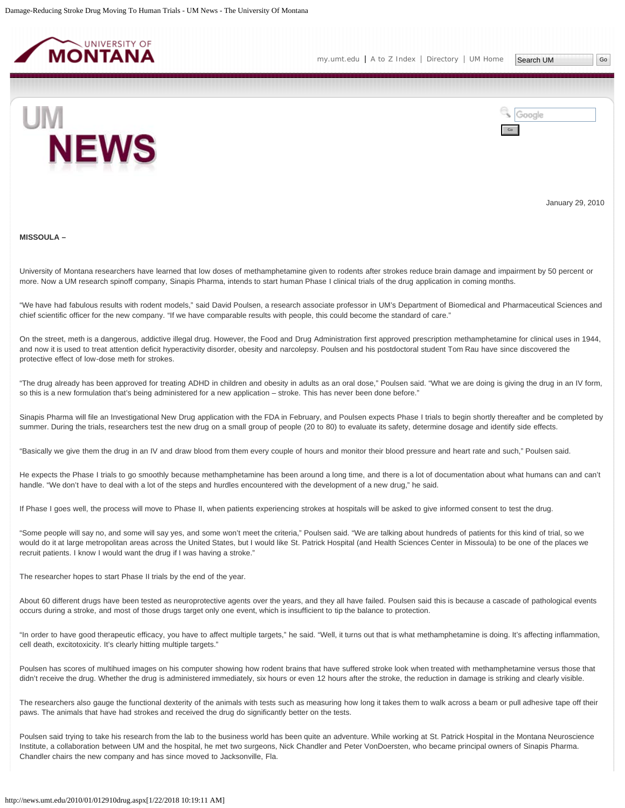<span id="page-5-0"></span>



January 29, 2010

#### **MISSOULA –**

University of Montana researchers have learned that low doses of methamphetamine given to rodents after strokes reduce brain damage and impairment by 50 percent or more. Now a UM research spinoff company, Sinapis Pharma, intends to start human Phase I clinical trials of the drug application in coming months.

"We have had fabulous results with rodent models," said David Poulsen, a research associate professor in UM's Department of Biomedical and Pharmaceutical Sciences and chief scientific officer for the new company. "If we have comparable results with people, this could become the standard of care."

On the street, meth is a dangerous, addictive illegal drug. However, the Food and Drug Administration first approved prescription methamphetamine for clinical uses in 1944, and now it is used to treat attention deficit hyperactivity disorder, obesity and narcolepsy. Poulsen and his postdoctoral student Tom Rau have since discovered the protective effect of low-dose meth for strokes.

"The drug already has been approved for treating ADHD in children and obesity in adults as an oral dose," Poulsen said. "What we are doing is giving the drug in an IV form, so this is a new formulation that's being administered for a new application – stroke. This has never been done before."

Sinapis Pharma will file an Investigational New Drug application with the FDA in February, and Poulsen expects Phase I trials to begin shortly thereafter and be completed by summer. During the trials, researchers test the new drug on a small group of people (20 to 80) to evaluate its safety, determine dosage and identify side effects.

"Basically we give them the drug in an IV and draw blood from them every couple of hours and monitor their blood pressure and heart rate and such," Poulsen said.

He expects the Phase I trials to go smoothly because methamphetamine has been around a long time, and there is a lot of documentation about what humans can and can't handle. "We don't have to deal with a lot of the steps and hurdles encountered with the development of a new drug," he said.

If Phase I goes well, the process will move to Phase II, when patients experiencing strokes at hospitals will be asked to give informed consent to test the drug.

"Some people will say no, and some will say yes, and some won't meet the criteria," Poulsen said. "We are talking about hundreds of patients for this kind of trial, so we would do it at large metropolitan areas across the United States, but I would like St. Patrick Hospital (and Health Sciences Center in Missoula) to be one of the places we recruit patients. I know I would want the drug if I was having a stroke."

The researcher hopes to start Phase II trials by the end of the year.

About 60 different drugs have been tested as neuroprotective agents over the years, and they all have failed. Poulsen said this is because a cascade of pathological events occurs during a stroke, and most of those drugs target only one event, which is insufficient to tip the balance to protection.

"In order to have good therapeutic efficacy, you have to affect multiple targets," he said. "Well, it turns out that is what methamphetamine is doing. It's affecting inflammation, cell death, excitotoxicity. It's clearly hitting multiple targets."

Poulsen has scores of multihued images on his computer showing how rodent brains that have suffered stroke look when treated with methamphetamine versus those that didn't receive the drug. Whether the drug is administered immediately, six hours or even 12 hours after the stroke, the reduction in damage is striking and clearly visible.

The researchers also gauge the functional dexterity of the animals with tests such as measuring how long it takes them to walk across a beam or pull adhesive tape off their paws. The animals that have had strokes and received the drug do significantly better on the tests.

Poulsen said trying to take his research from the lab to the business world has been quite an adventure. While working at St. Patrick Hospital in the Montana Neuroscience Institute, a collaboration between UM and the hospital, he met two surgeons, Nick Chandler and Peter VonDoersten, who became principal owners of Sinapis Pharma. Chandler chairs the new company and has since moved to Jacksonville, Fla.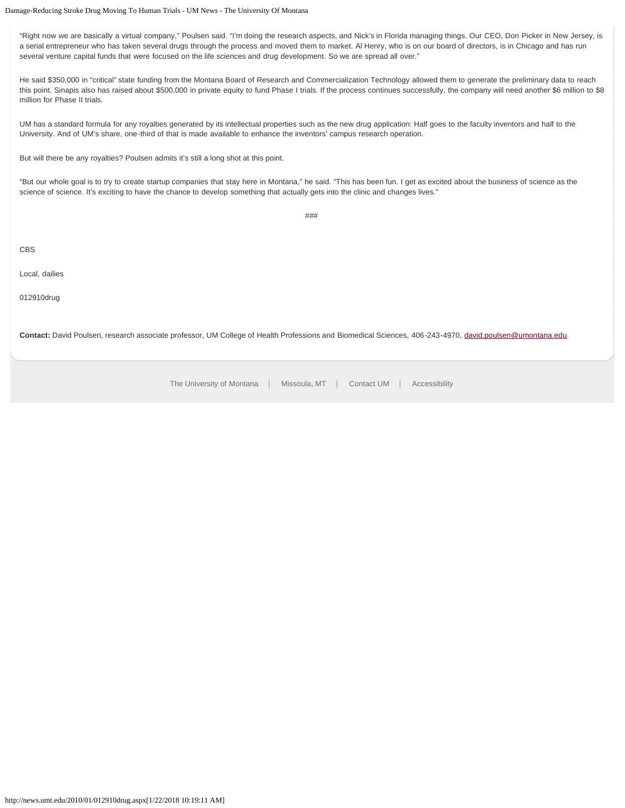# Damage-Reducing Stroke Drug Moving To Human Trials - UM News - The University Of Montana

"Right now we are basically a virtual company," Poulsen said. "I'm doing the research aspects, and Nick's in Florida managing things. Our CEO, Don Picker in New Jersey, is a serial entrepreneur who has taken several drugs through the process and moved them to market. Al Henry, who is on our board of directors, is in Chicago and has run several venture capital funds that were focused on the life sciences and drug development. So we are spread all over."

He said \$350,000 in "critical" state funding from the Montana Board of Research and Commercialization Technology allowed them to generate the preliminary data to reach this point. Sinapis also has raised about \$500,000 in private equity to fund Phase I trials. If the process continues successfully, the company will need another \$6 million to \$8 million for Phase II trials.

UM has a standard formula for any royalties generated by its intellectual properties such as the new drug application: Half goes to the faculty inventors and half to the University. And of UM's share, one-third of that is made available to enhance the inventors' campus research operation.

But will there be any royalties? Poulsen admits it's still a long shot at this point.

"But our whole goal is to try to create startup companies that stay here in Montana," he said. "This has been fun. I get as excited about the business of science as the science of science. It's exciting to have the chance to develop something that actually gets into the clinic and changes lives."

###

CBS

Local, dailies

012910drug

**Contact:** David Poulsen, research associate professor, UM College of Health Professions and Biomedical Sciences, 406-243-4970, [david.poulsen@umontana.edu](mailto:david.poulsen@umontana.edu).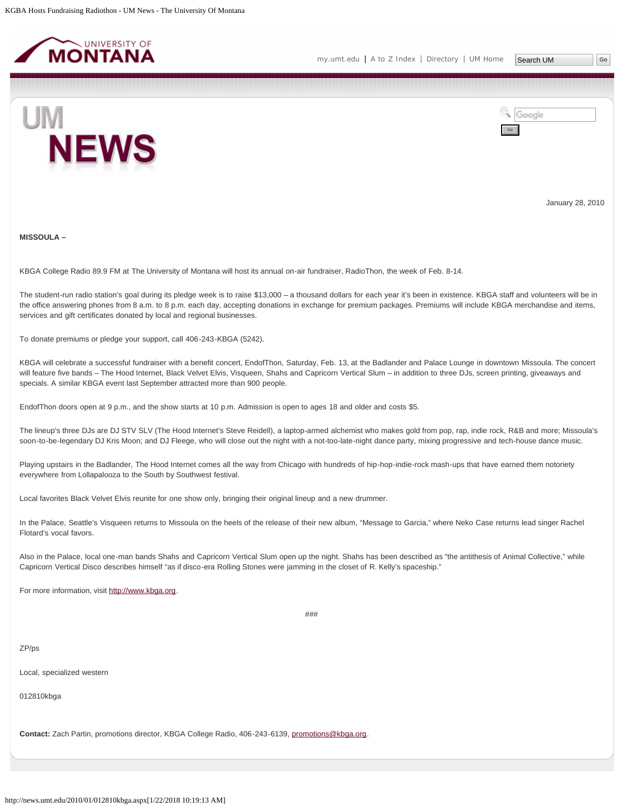<span id="page-7-0"></span>



January 28, 2010

**MISSOULA –**

KBGA College Radio 89.9 FM at The University of Montana will host its annual on-air fundraiser, RadioThon, the week of Feb. 8-14.

The student-run radio station's goal during its pledge week is to raise \$13,000 – a thousand dollars for each year it's been in existence. KBGA staff and volunteers will be in the office answering phones from 8 a.m. to 8 p.m. each day, accepting donations in exchange for premium packages. Premiums will include KBGA merchandise and items, services and gift certificates donated by local and regional businesses.

To donate premiums or pledge your support, call 406-243-KBGA (5242).

KBGA will celebrate a successful fundraiser with a benefit concert, EndofThon, Saturday, Feb. 13, at the Badlander and Palace Lounge in downtown Missoula. The concert will feature five bands - The Hood Internet, Black Velvet Elvis, Visqueen, Shahs and Capricorn Vertical Slum - in addition to three DJs, screen printing, giveaways and specials. A similar KBGA event last September attracted more than 900 people.

EndofThon doors open at 9 p.m., and the show starts at 10 p.m. Admission is open to ages 18 and older and costs \$5.

The lineup's three DJs are DJ STV SLV (The Hood Internet's Steve Reidell), a laptop-armed alchemist who makes gold from pop, rap, indie rock, R&B and more; Missoula's soon-to-be-legendary DJ Kris Moon; and DJ Fleege, who will close out the night with a not-too-late-night dance party, mixing progressive and tech-house dance music.

Playing upstairs in the Badlander, The Hood Internet comes all the way from Chicago with hundreds of hip-hop-indie-rock mash-ups that have earned them notoriety everywhere from Lollapalooza to the South by Southwest festival.

Local favorites Black Velvet Elvis reunite for one show only, bringing their original lineup and a new drummer.

In the Palace, Seattle's Visqueen returns to Missoula on the heels of the release of their new album, "Message to Garcia," where Neko Case returns lead singer Rachel Flotard's vocal favors.

Also in the Palace, local one-man bands Shahs and Capricorn Vertical Slum open up the night. Shahs has been described as "the antithesis of Animal Collective," while Capricorn Vertical Disco describes himself "as if disco-era Rolling Stones were jamming in the closet of R. Kelly's spaceship."

For more information, visit [http://www.kbga.org.](http://www.kbga.org/)

###

ZP/ps

Local, specialized western

012810kbga

**Contact:** Zach Partin, promotions director, KBGA College Radio, 406-243-6139, [promotions@kbga.org](mailto:promotions@kbga.org).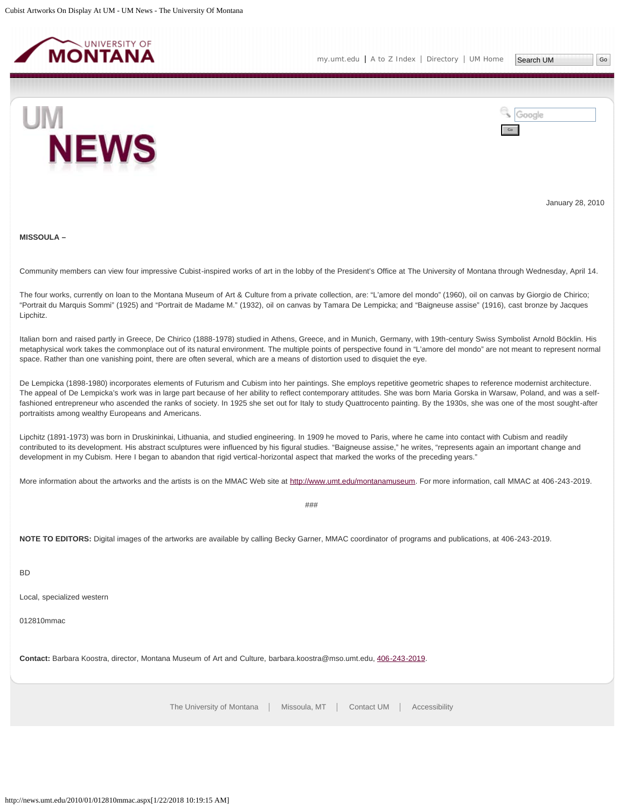<span id="page-9-0"></span>





January 28, 2010

#### **MISSOULA –**

Community members can view four impressive Cubist-inspired works of art in the lobby of the President's Office at The University of Montana through Wednesday, April 14.

The four works, currently on loan to the Montana Museum of Art & Culture from a private collection, are: "L'amore del mondo" (1960), oil on canvas by Giorgio de Chirico; "Portrait du Marquis Sommi" (1925) and "Portrait de Madame M." (1932), oil on canvas by Tamara De Lempicka; and "Baigneuse assise" (1916), cast bronze by Jacques Lipchitz.

Italian born and raised partly in Greece, De Chirico (1888-1978) studied in Athens, Greece, and in Munich, Germany, with 19th-century Swiss Symbolist Arnold Böcklin. His metaphysical work takes the commonplace out of its natural environment. The multiple points of perspective found in "L'amore del mondo" are not meant to represent normal space. Rather than one vanishing point, there are often several, which are a means of distortion used to disquiet the eye.

De Lempicka (1898-1980) incorporates elements of Futurism and Cubism into her paintings. She employs repetitive geometric shapes to reference modernist architecture. The appeal of De Lempicka's work was in large part because of her ability to reflect contemporary attitudes. She was born Maria Gorska in Warsaw, Poland, and was a selffashioned entrepreneur who ascended the ranks of society. In 1925 she set out for Italy to study Quattrocento painting. By the 1930s, she was one of the most sought-after portraitists among wealthy Europeans and Americans.

Lipchitz (1891-1973) was born in Druskininkai, Lithuania, and studied engineering. In 1909 he moved to Paris, where he came into contact with Cubism and readily contributed to its development. His abstract sculptures were influenced by his figural studies. "Baigneuse assise," he writes, "represents again an important change and development in my Cubism. Here I began to abandon that rigid vertical-horizontal aspect that marked the works of the preceding years."

More information about the artworks and the artists is on the MMAC Web site at [http://www.umt.edu/montanamuseum.](http://www.umt.edu/montanamuseum) For more information, call MMAC at 406-243-2019.

###

**NOTE TO EDITORS:** Digital images of the artworks are available by calling Becky Garner, MMAC coordinator of programs and publications, at 406-243-2019.

BD

Local, specialized western

012810mmac

**Contact:** Barbara Koostra, director, Montana Museum of Art and Culture, barbara.koostra@mso.umt.edu, [406-243-2019](mailto:406-243-2019).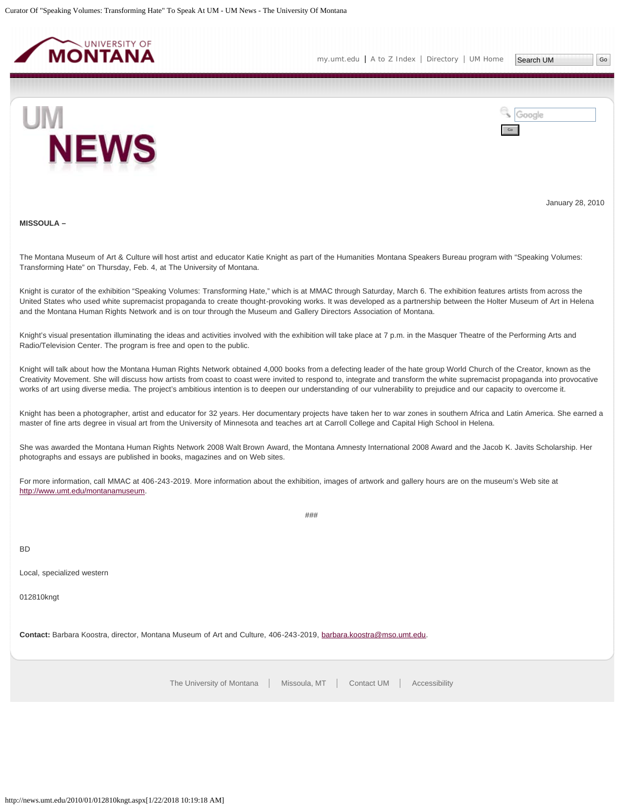<span id="page-10-0"></span>

[my.umt.edu](http://my.umt.edu/) | [A to Z Index](http://www.umt.edu/search/atoz/) | [Directory](http://www.umt.edu/directory/) | [UM Home](http://www.umt.edu/)

Google

Go



January 28, 2010

**MISSOULA –**

The Montana Museum of Art & Culture will host artist and educator Katie Knight as part of the Humanities Montana Speakers Bureau program with "Speaking Volumes: Transforming Hate" on Thursday, Feb. 4, at The University of Montana.

Knight is curator of the exhibition "Speaking Volumes: Transforming Hate," which is at MMAC through Saturday, March 6. The exhibition features artists from across the United States who used white supremacist propaganda to create thought-provoking works. It was developed as a partnership between the Holter Museum of Art in Helena and the Montana Human Rights Network and is on tour through the Museum and Gallery Directors Association of Montana.

Knight's visual presentation illuminating the ideas and activities involved with the exhibition will take place at 7 p.m. in the Masquer Theatre of the Performing Arts and Radio/Television Center. The program is free and open to the public.

Knight will talk about how the Montana Human Rights Network obtained 4,000 books from a defecting leader of the hate group World Church of the Creator, known as the Creativity Movement. She will discuss how artists from coast to coast were invited to respond to, integrate and transform the white supremacist propaganda into provocative works of art using diverse media. The project's ambitious intention is to deepen our understanding of our vulnerability to prejudice and our capacity to overcome it.

Knight has been a photographer, artist and educator for 32 years. Her documentary projects have taken her to war zones in southern Africa and Latin America. She earned a master of fine arts degree in visual art from the University of Minnesota and teaches art at Carroll College and Capital High School in Helena.

She was awarded the Montana Human Rights Network 2008 Walt Brown Award, the Montana Amnesty International 2008 Award and the Jacob K. Javits Scholarship. Her photographs and essays are published in books, magazines and on Web sites.

###

For more information, call MMAC at 406-243-2019. More information about the exhibition, images of artwork and gallery hours are on the museum's Web site at [http://www.umt.edu/montanamuseum.](http://www.umt.edu/montanamuseum)

BD

Local, specialized western

012810kngt

**Contact:** Barbara Koostra, director, Montana Museum of Art and Culture, 406-243-2019, [barbara.koostra@mso.umt.edu](mailto:barbara.koostra@mso.umt.edu).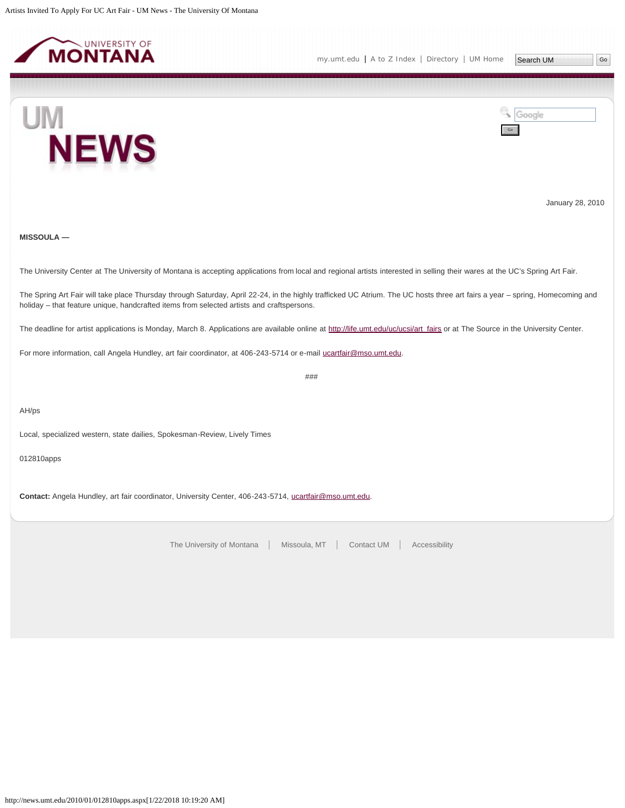<span id="page-11-0"></span>

Google





January 28, 2010

**MISSOULA —**

The University Center at The University of Montana is accepting applications from local and regional artists interested in selling their wares at the UC's Spring Art Fair.

The Spring Art Fair will take place Thursday through Saturday, April 22-24, in the highly trafficked UC Atrium. The UC hosts three art fairs a year – spring, Homecoming and holiday – that feature unique, handcrafted items from selected artists and craftspersons.

The deadline for artist applications is Monday, March 8. Applications are available online at [http://life.umt.edu/uc/ucsi/art\\_fairs](http://life.umt.edu/uc/ucsi/art_fairs) or at The Source in the University Center.

For more information, call Angela Hundley, art fair coordinator, at 406-243-5714 or e-mail [ucartfair@mso.umt.edu](mailto:ucartfair@mso.umt.edu).

###

AH/ps

Local, specialized western, state dailies, Spokesman-Review, Lively Times

012810apps

**Contact:** Angela Hundley, art fair coordinator, University Center, 406-243-5714, [ucartfair@mso.umt.edu.](mailto:ucartfair@mso.umt.edu)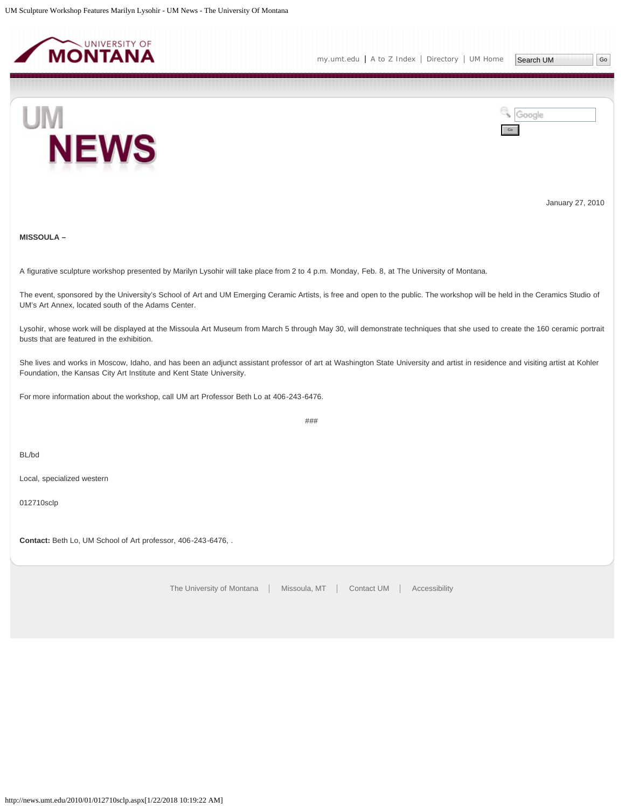<span id="page-12-0"></span>

Google



January 27, 2010

**MISSOULA –**

A figurative sculpture workshop presented by Marilyn Lysohir will take place from 2 to 4 p.m. Monday, Feb. 8, at The University of Montana.

The event, sponsored by the University's School of Art and UM Emerging Ceramic Artists, is free and open to the public. The workshop will be held in the Ceramics Studio of UM's Art Annex, located south of the Adams Center.

Lysohir, whose work will be displayed at the Missoula Art Museum from March 5 through May 30, will demonstrate techniques that she used to create the 160 ceramic portrait busts that are featured in the exhibition.

She lives and works in Moscow, Idaho, and has been an adjunct assistant professor of art at Washington State University and artist in residence and visiting artist at Kohler Foundation, the Kansas City Art Institute and Kent State University.

For more information about the workshop, call UM art Professor Beth Lo at 406-243-6476.

###

BL/bd

Local, specialized western

012710sclp

**Contact:** Beth Lo, UM School of Art professor, 406-243-6476, .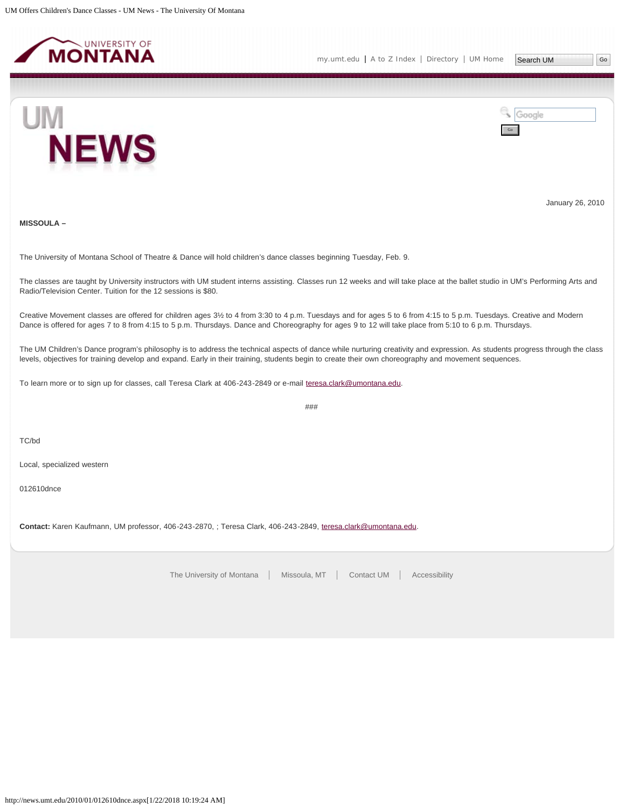<span id="page-13-0"></span>

Google



January 26, 2010

**MISSOULA –**

The University of Montana School of Theatre & Dance will hold children's dance classes beginning Tuesday, Feb. 9.

The classes are taught by University instructors with UM student interns assisting. Classes run 12 weeks and will take place at the ballet studio in UM's Performing Arts and Radio/Television Center. Tuition for the 12 sessions is \$80.

Creative Movement classes are offered for children ages 3½ to 4 from 3:30 to 4 p.m. Tuesdays and for ages 5 to 6 from 4:15 to 5 p.m. Tuesdays. Creative and Modern Dance is offered for ages 7 to 8 from 4:15 to 5 p.m. Thursdays. Dance and Choreography for ages 9 to 12 will take place from 5:10 to 6 p.m. Thursdays.

The UM Children's Dance program's philosophy is to address the technical aspects of dance while nurturing creativity and expression. As students progress through the class levels, objectives for training develop and expand. Early in their training, students begin to create their own choreography and movement sequences.

To learn more or to sign up for classes, call Teresa Clark at 406-243-2849 or e-mail [teresa.clark@umontana.edu.](mailto:teresa.clark@umontana.edu)

###

TC/bd

Local, specialized western

012610dnce

**Contact:** Karen Kaufmann, UM professor, 406-243-2870, ; Teresa Clark, 406-243-2849, [teresa.clark@umontana.edu](mailto:teresa.clark@umontana.edu).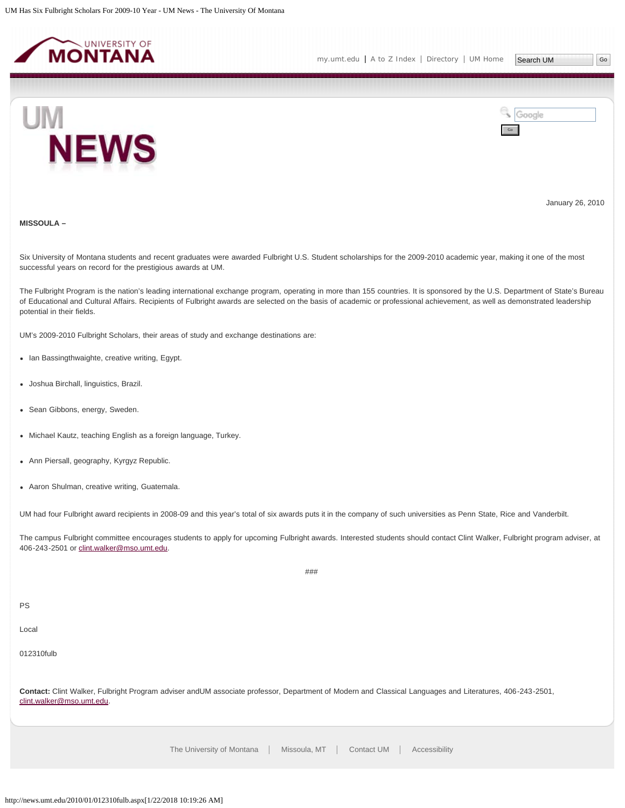<span id="page-14-0"></span>

Google



January 26, 2010

### **MISSOULA –**

Six University of Montana students and recent graduates were awarded Fulbright U.S. Student scholarships for the 2009-2010 academic year, making it one of the most successful years on record for the prestigious awards at UM.

The Fulbright Program is the nation's leading international exchange program, operating in more than 155 countries. It is sponsored by the U.S. Department of State's Bureau of Educational and Cultural Affairs. Recipients of Fulbright awards are selected on the basis of academic or professional achievement, as well as demonstrated leadership potential in their fields.

UM's 2009-2010 Fulbright Scholars, their areas of study and exchange destinations are:

- Ian Bassingthwaighte, creative writing, Egypt.
- Joshua Birchall, linguistics, Brazil.
- Sean Gibbons, energy, Sweden.
- Michael Kautz, teaching English as a foreign language, Turkey.
- Ann Piersall, geography, Kyrgyz Republic.
- Aaron Shulman, creative writing, Guatemala.

UM had four Fulbright award recipients in 2008-09 and this year's total of six awards puts it in the company of such universities as Penn State, Rice and Vanderbilt.

The campus Fulbright committee encourages students to apply for upcoming Fulbright awards. Interested students should contact Clint Walker, Fulbright program adviser, at 406-243-2501 or [clint.walker@mso.umt.edu](mailto:clint.walker@mso.umt.edu).

###

| <b>PS</b>                                                                                                                                                                            |
|--------------------------------------------------------------------------------------------------------------------------------------------------------------------------------------|
| Local                                                                                                                                                                                |
| 012310fulb                                                                                                                                                                           |
| Contact: Clint Walker, Fulbright Program adviser andUM associate professor, Department of Modern and Classical Languages and Literatures, 406-243-2501,<br>clint.walker@mso.umt.edu. |
|                                                                                                                                                                                      |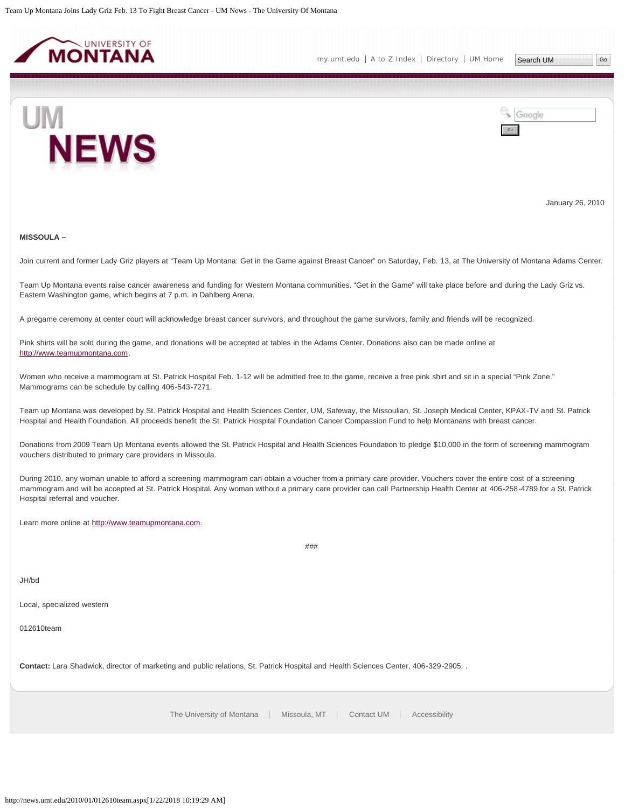<span id="page-15-0"></span>



January 26, 2010

#### **MISSOULA –**

Join current and former Lady Griz players at "Team Up Montana: Get in the Game against Breast Cancer" on Saturday, Feb. 13, at The University of Montana Adams Center.

Team Up Montana events raise cancer awareness and funding for Western Montana communities. "Get in the Game" will take place before and during the Lady Griz vs. Eastern Washington game, which begins at 7 p.m. in Dahlberg Arena.

A pregame ceremony at center court will acknowledge breast cancer survivors, and throughout the game survivors, family and friends will be recognized.

Pink shirts will be sold during the game, and donations will be accepted at tables in the Adams Center. Donations also can be made online at [http://www.teamupmontana.com.](http://www.teamupmontana.com/)

Women who receive a mammogram at St. Patrick Hospital Feb. 1-12 will be admitted free to the game, receive a free pink shirt and sit in a special "Pink Zone." Mammograms can be schedule by calling 406-543-7271.

Team up Montana was developed by St. Patrick Hospital and Health Sciences Center, UM, Safeway, the Missoulian, St. Joseph Medical Center, KPAX-TV and St. Patrick Hospital and Health Foundation. All proceeds benefit the St. Patrick Hospital Foundation Cancer Compassion Fund to help Montanans with breast cancer.

Donations from 2009 Team Up Montana events allowed the St. Patrick Hospital and Health Sciences Foundation to pledge \$10,000 in the form of screening mammogram vouchers distributed to primary care providers in Missoula.

During 2010, any woman unable to afford a screening mammogram can obtain a voucher from a primary care provider. Vouchers cover the entire cost of a screening mammogram and will be accepted at St. Patrick Hospital. Any woman without a primary care provider can call Partnership Health Center at 406-258-4789 for a St. Patrick Hospital referral and voucher.

Learn more online at [http://www.teamupmontana.com.](http://www.teamupmontana.com/)

###

JH/bd

Local, specialized western

012610team

**Contact:** Lara Shadwick, director of marketing and public relations, St. Patrick Hospital and Health Sciences Center, 406-329-2905, .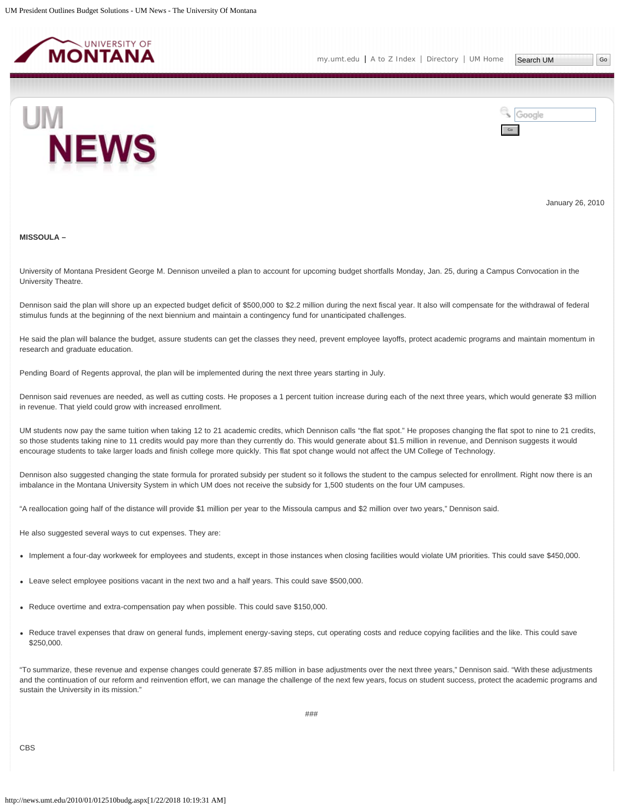<span id="page-16-0"></span>



January 26, 2010

#### **MISSOULA –**

University of Montana President George M. Dennison unveiled a plan to account for upcoming budget shortfalls Monday, Jan. 25, during a Campus Convocation in the University Theatre.

Dennison said the plan will shore up an expected budget deficit of \$500,000 to \$2.2 million during the next fiscal year. It also will compensate for the withdrawal of federal stimulus funds at the beginning of the next biennium and maintain a contingency fund for unanticipated challenges.

He said the plan will balance the budget, assure students can get the classes they need, prevent employee layoffs, protect academic programs and maintain momentum in research and graduate education.

Pending Board of Regents approval, the plan will be implemented during the next three years starting in July.

Dennison said revenues are needed, as well as cutting costs. He proposes a 1 percent tuition increase during each of the next three years, which would generate \$3 million in revenue. That yield could grow with increased enrollment.

UM students now pay the same tuition when taking 12 to 21 academic credits, which Dennison calls "the flat spot." He proposes changing the flat spot to nine to 21 credits, so those students taking nine to 11 credits would pay more than they currently do. This would generate about \$1.5 million in revenue, and Dennison suggests it would encourage students to take larger loads and finish college more quickly. This flat spot change would not affect the UM College of Technology.

Dennison also suggested changing the state formula for prorated subsidy per student so it follows the student to the campus selected for enrollment. Right now there is an imbalance in the Montana University System in which UM does not receive the subsidy for 1,500 students on the four UM campuses.

"A reallocation going half of the distance will provide \$1 million per year to the Missoula campus and \$2 million over two years," Dennison said.

He also suggested several ways to cut expenses. They are:

- Implement a four-day workweek for employees and students, except in those instances when closing facilities would violate UM priorities. This could save \$450,000.
- Leave select employee positions vacant in the next two and a half years. This could save \$500,000.
- Reduce overtime and extra-compensation pay when possible. This could save \$150,000.
- Reduce travel expenses that draw on general funds, implement energy-saving steps, cut operating costs and reduce copying facilities and the like. This could save \$250,000.

"To summarize, these revenue and expense changes could generate \$7.85 million in base adjustments over the next three years," Dennison said. "With these adjustments and the continuation of our reform and reinvention effort, we can manage the challenge of the next few years, focus on student success, protect the academic programs and sustain the University in its mission."

**CBS**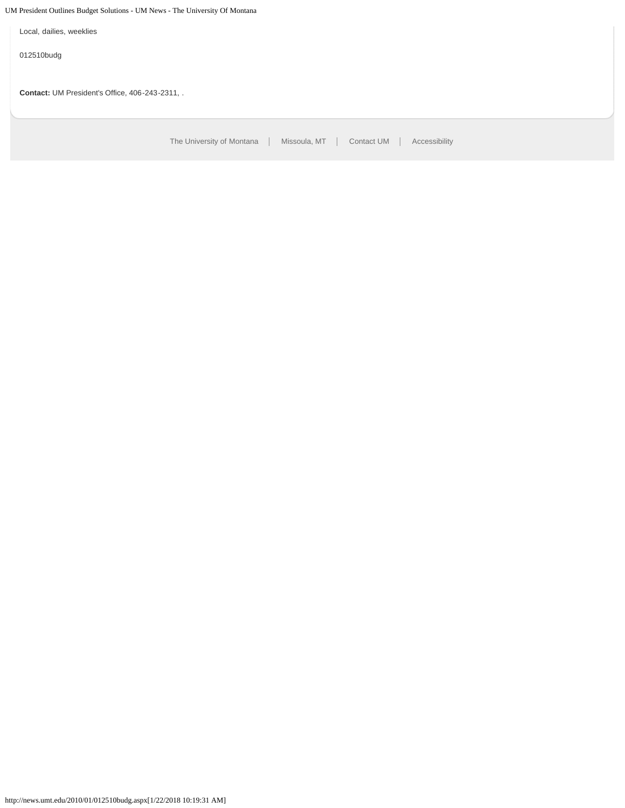UM President Outlines Budget Solutions - UM News - The University Of Montana

[The University of Montana](http://www.umt.edu/) | Missoula, MT | [Contact UM](http://www.umt.edu/comments) | [Accessibility](http://www.umt.edu/home/accessibility) Local, dailies, weeklies 012510budg **Contact:** UM President's Office, 406-243-2311, .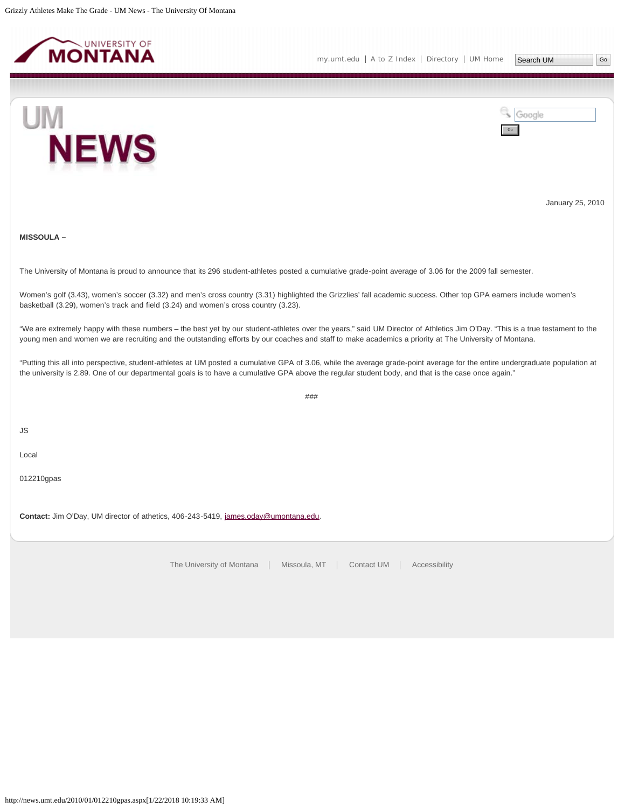<span id="page-18-0"></span>





January 25, 2010

# **MISSOULA –**

The University of Montana is proud to announce that its 296 student-athletes posted a cumulative grade-point average of 3.06 for the 2009 fall semester.

Women's golf (3.43), women's soccer (3.32) and men's cross country (3.31) highlighted the Grizzlies' fall academic success. Other top GPA earners include women's basketball (3.29), women's track and field (3.24) and women's cross country (3.23).

"We are extremely happy with these numbers – the best yet by our student-athletes over the years," said UM Director of Athletics Jim O'Day. "This is a true testament to the young men and women we are recruiting and the outstanding efforts by our coaches and staff to make academics a priority at The University of Montana.

"Putting this all into perspective, student-athletes at UM posted a cumulative GPA of 3.06, while the average grade-point average for the entire undergraduate population at the university is 2.89. One of our departmental goals is to have a cumulative GPA above the regular student body, and that is the case once again."

###

JS

Local

012210gpas

**Contact:** Jim O'Day, UM director of athetics, 406-243-5419, [james.oday@umontana.edu](mailto:james.oday@umontana.edu).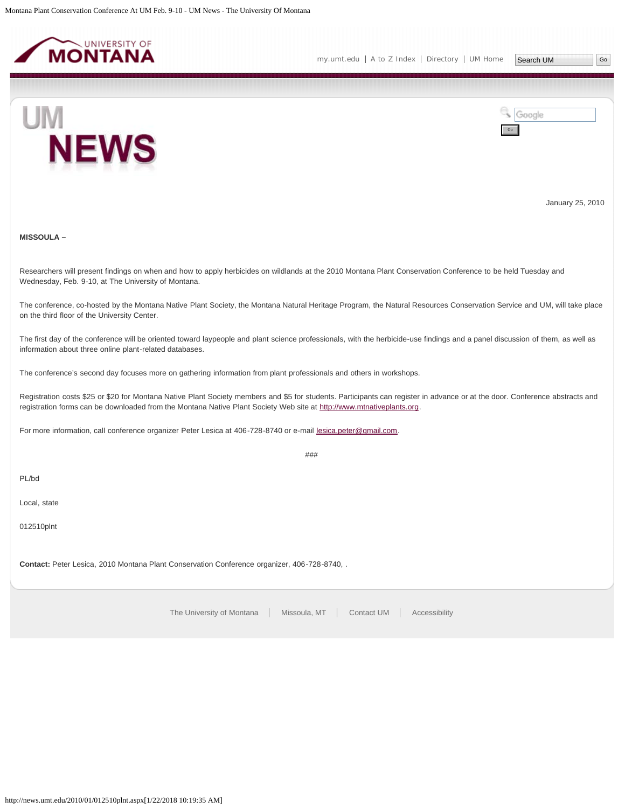<span id="page-19-0"></span>





January 25, 2010

# **MISSOULA –**

Researchers will present findings on when and how to apply herbicides on wildlands at the 2010 Montana Plant Conservation Conference to be held Tuesday and Wednesday, Feb. 9-10, at The University of Montana.

The conference, co-hosted by the Montana Native Plant Society, the Montana Natural Heritage Program, the Natural Resources Conservation Service and UM, will take place on the third floor of the University Center.

The first day of the conference will be oriented toward laypeople and plant science professionals, with the herbicide-use findings and a panel discussion of them, as well as information about three online plant-related databases.

The conference's second day focuses more on gathering information from plant professionals and others in workshops.

Registration costs \$25 or \$20 for Montana Native Plant Society members and \$5 for students. Participants can register in advance or at the door. Conference abstracts and registration forms can be downloaded from the Montana Native Plant Society Web site at [http://www.mtnativeplants.org](http://www.mtnativeplants.org/).

For more information, call conference organizer Peter Lesica at 406-728-8740 or e-mail [lesica.peter@gmail.com.](mailto:lesica.peter@gmail.com)

###

PL/bd

Local, state

012510plnt

**Contact:** Peter Lesica, 2010 Montana Plant Conservation Conference organizer, 406-728-8740, .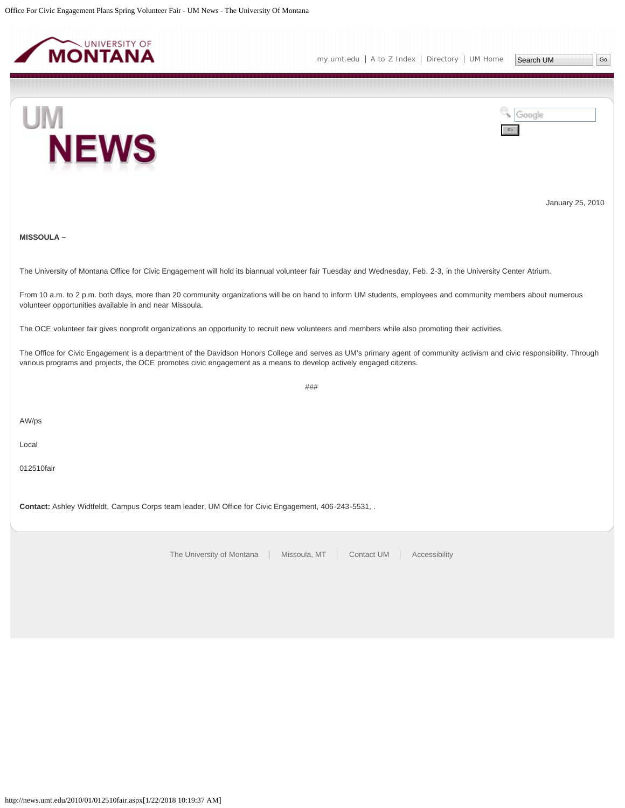<span id="page-20-0"></span>

**NEWS** 



January 25, 2010

**MISSOULA –**

**UM** 

The University of Montana Office for Civic Engagement will hold its biannual volunteer fair Tuesday and Wednesday, Feb. 2-3, in the University Center Atrium.

From 10 a.m. to 2 p.m. both days, more than 20 community organizations will be on hand to inform UM students, employees and community members about numerous volunteer opportunities available in and near Missoula.

The OCE volunteer fair gives nonprofit organizations an opportunity to recruit new volunteers and members while also promoting their activities.

The Office for Civic Engagement is a department of the Davidson Honors College and serves as UM's primary agent of community activism and civic responsibility. Through various programs and projects, the OCE promotes civic engagement as a means to develop actively engaged citizens.

###

AW/ps

Local

012510fair

**Contact:** Ashley Widtfeldt, Campus Corps team leader, UM Office for Civic Engagement, 406-243-5531, .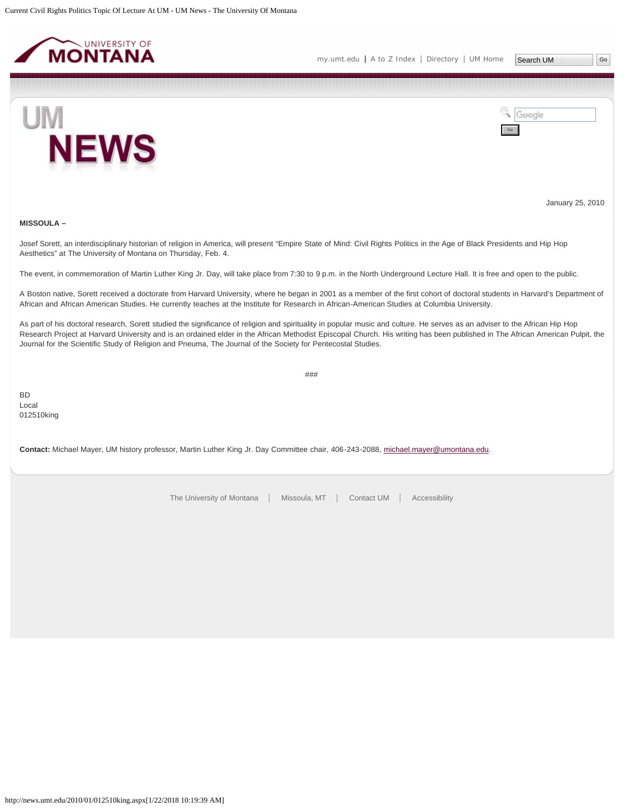<span id="page-21-0"></span>

Google



January 25, 2010

# **MISSOULA –**

Josef Sorett, an interdisciplinary historian of religion in America, will present "Empire State of Mind: Civil Rights Politics in the Age of Black Presidents and Hip Hop Aesthetics" at The University of Montana on Thursday, Feb. 4.

The event, in commemoration of Martin Luther King Jr. Day, will take place from 7:30 to 9 p.m. in the North Underground Lecture Hall. It is free and open to the public.

A Boston native, Sorett received a doctorate from Harvard University, where he began in 2001 as a member of the first cohort of doctoral students in Harvard's Department of African and African American Studies. He currently teaches at the Institute for Research in African-American Studies at Columbia University.

As part of his doctoral research, Sorett studied the significance of religion and spirituality in popular music and culture. He serves as an adviser to the African Hip Hop Research Project at Harvard University and is an ordained elder in the African Methodist Episcopal Church. His writing has been published in The African American Pulpit, the Journal for the Scientific Study of Religion and Pneuma, The Journal of the Society for Pentecostal Studies.

###

BD Local 012510king

**Contact:** Michael Mayer, UM history professor, Martin Luther King Jr. Day Committee chair, 406-243-2088, [michael.mayer@umontana.edu](mailto:michael.mayer@umontana.edu).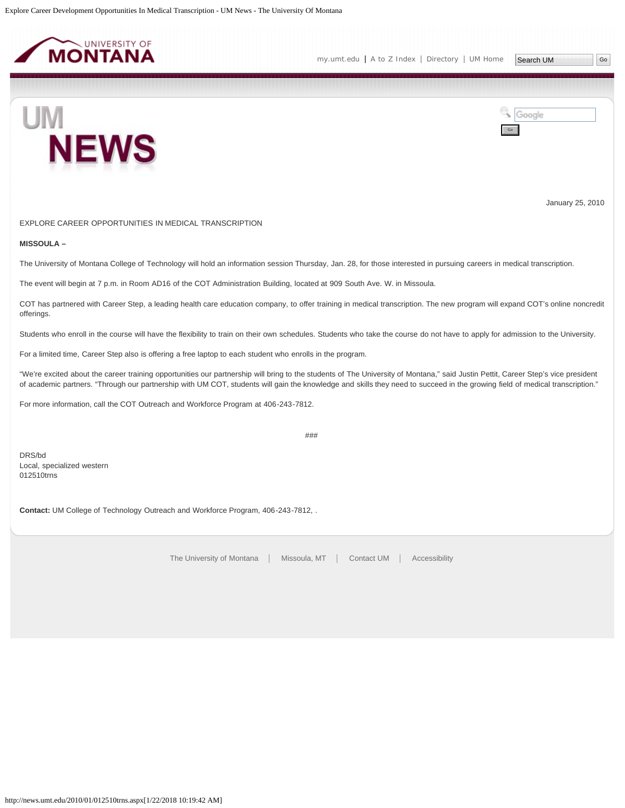<span id="page-22-0"></span>

Google



January 25, 2010

EXPLORE CAREER OPPORTUNITIES IN MEDICAL TRANSCRIPTION

#### **MISSOULA –**

The University of Montana College of Technology will hold an information session Thursday, Jan. 28, for those interested in pursuing careers in medical transcription.

The event will begin at 7 p.m. in Room AD16 of the COT Administration Building, located at 909 South Ave. W. in Missoula.

COT has partnered with Career Step, a leading health care education company, to offer training in medical transcription. The new program will expand COT's online noncredit offerings.

Students who enroll in the course will have the flexibility to train on their own schedules. Students who take the course do not have to apply for admission to the University.

For a limited time, Career Step also is offering a free laptop to each student who enrolls in the program.

"We're excited about the career training opportunities our partnership will bring to the students of The University of Montana," said Justin Pettit, Career Step's vice president of academic partners. "Through our partnership with UM COT, students will gain the knowledge and skills they need to succeed in the growing field of medical transcription."

###

For more information, call the COT Outreach and Workforce Program at 406-243-7812.

DRS/bd Local, specialized western 012510trns

**Contact:** UM College of Technology Outreach and Workforce Program, 406-243-7812, .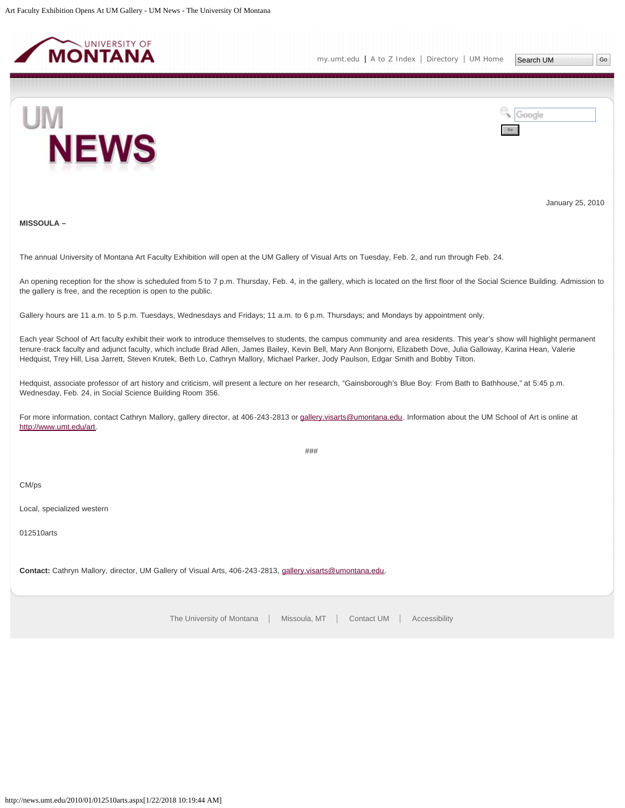<span id="page-23-0"></span>

Google



January 25, 2010

**MISSOULA –**

The annual University of Montana Art Faculty Exhibition will open at the UM Gallery of Visual Arts on Tuesday, Feb. 2, and run through Feb. 24.

An opening reception for the show is scheduled from 5 to 7 p.m. Thursday, Feb. 4, in the gallery, which is located on the first floor of the Social Science Building. Admission to the gallery is free, and the reception is open to the public.

Gallery hours are 11 a.m. to 5 p.m. Tuesdays, Wednesdays and Fridays; 11 a.m. to 6 p.m. Thursdays; and Mondays by appointment only.

Each year School of Art faculty exhibit their work to introduce themselves to students, the campus community and area residents. This year's show will highlight permanent tenure-track faculty and adjunct faculty, which include Brad Allen, James Bailey, Kevin Bell, Mary Ann Bonjorni, Elizabeth Dove, Julia Galloway, Karina Hean, Valerie Hedquist, Trey Hill, Lisa Jarrett, Steven Krutek, Beth Lo, Cathryn Mallory, Michael Parker, Jody Paulson, Edgar Smith and Bobby Tilton.

Hedquist, associate professor of art history and criticism, will present a lecture on her research, "Gainsborough's Blue Boy: From Bath to Bathhouse," at 5:45 p.m. Wednesday, Feb. 24, in Social Science Building Room 356.

For more information, contact Cathryn Mallory, gallery director, at 406-243-2813 or [gallery.visarts@umontana.edu](mailto:gallery.visarts@umontana.edu). Information about the UM School of Art is online at [http://www.umt.edu/art.](http://www.umt.edu/art)

###

CM/ps

Local, specialized western

012510arts

**Contact:** Cathryn Mallory, director, UM Gallery of Visual Arts, 406-243-2813, [gallery.visarts@umontana.edu](mailto:gallery.visarts@umontana.edu).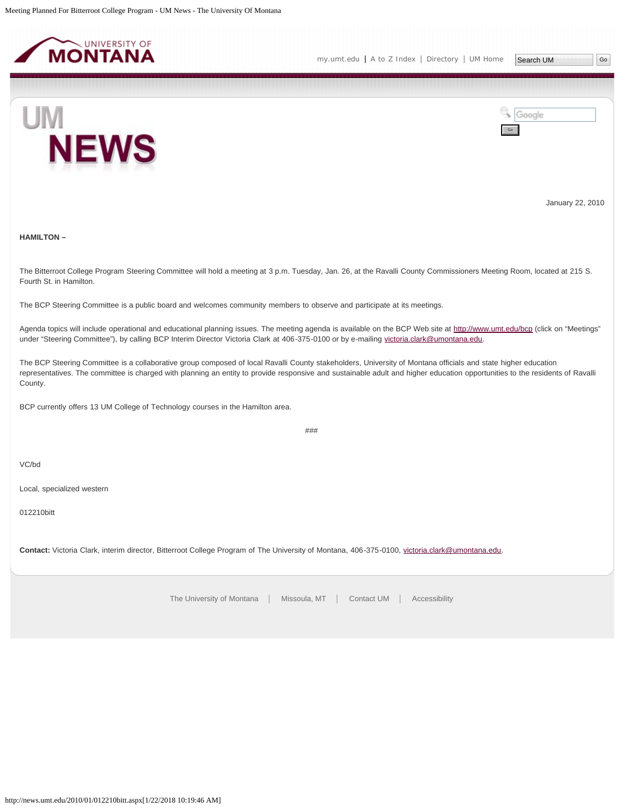<span id="page-24-0"></span>



January 22, 2010

### **HAMILTON –**

The Bitterroot College Program Steering Committee will hold a meeting at 3 p.m. Tuesday, Jan. 26, at the Ravalli County Commissioners Meeting Room, located at 215 S. Fourth St. in Hamilton.

The BCP Steering Committee is a public board and welcomes community members to observe and participate at its meetings.

Agenda topics will include operational and educational planning issues. The meeting agenda is available on the BCP Web site at <http://www.umt.edu/bcp>(click on "Meetings" under "Steering Committee"), by calling BCP Interim Director Victoria Clark at 406-375-0100 or by e-mailing [victoria.clark@umontana.edu.](mailto:victoria.clark@umontana.edu)

The BCP Steering Committee is a collaborative group composed of local Ravalli County stakeholders, University of Montana officials and state higher education representatives. The committee is charged with planning an entity to provide responsive and sustainable adult and higher education opportunities to the residents of Ravalli County.

BCP currently offers 13 UM College of Technology courses in the Hamilton area.

###

VC/bd

Local, specialized western

012210bitt

**Contact:** Victoria Clark, interim director, Bitterroot College Program of The University of Montana, 406-375-0100, [victoria.clark@umontana.edu](mailto:victoria.clark@umontana.edu).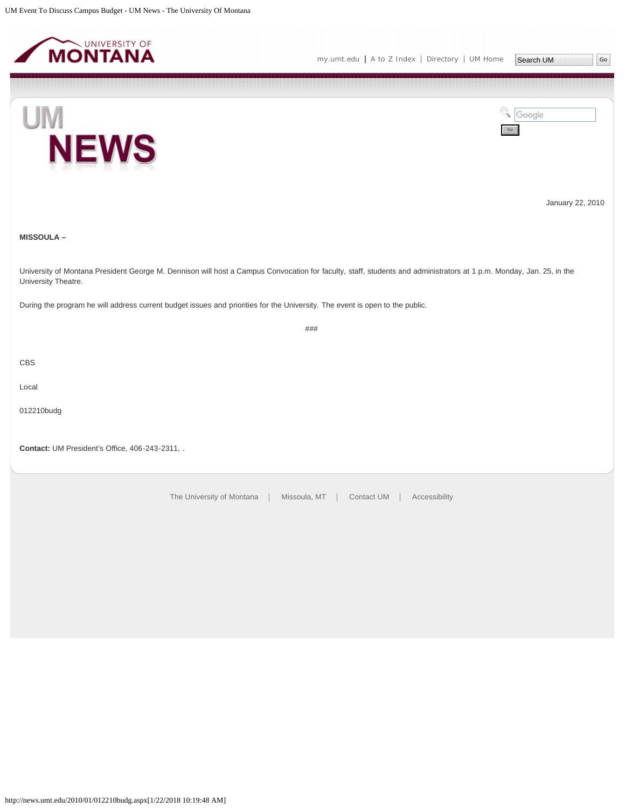<span id="page-25-0"></span>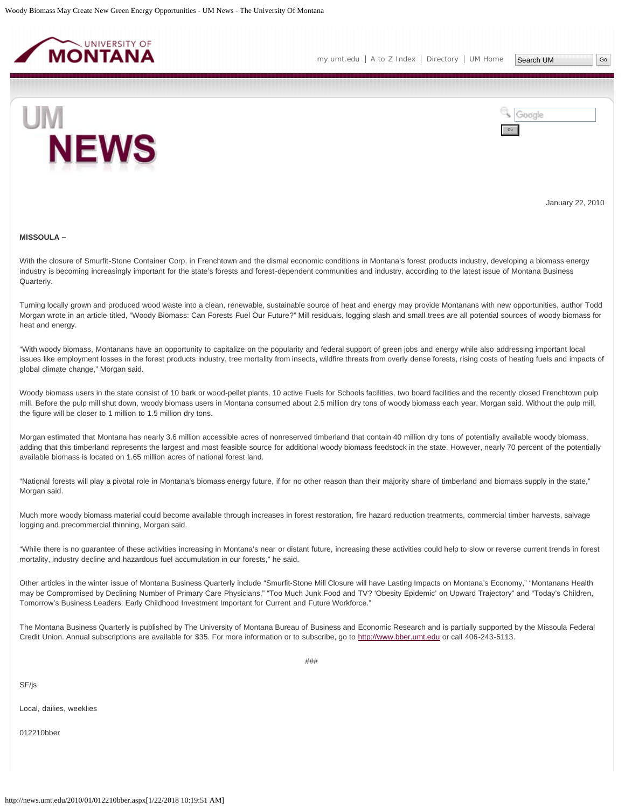<span id="page-26-0"></span>



January 22, 2010

#### **MISSOULA –**

With the closure of Smurfit-Stone Container Corp. in Frenchtown and the dismal economic conditions in Montana's forest products industry, developing a biomass energy industry is becoming increasingly important for the state's forests and forest-dependent communities and industry, according to the latest issue of Montana Business Quarterly.

Turning locally grown and produced wood waste into a clean, renewable, sustainable source of heat and energy may provide Montanans with new opportunities, author Todd Morgan wrote in an article titled, "Woody Biomass: Can Forests Fuel Our Future?" Mill residuals, logging slash and small trees are all potential sources of woody biomass for heat and energy.

"With woody biomass, Montanans have an opportunity to capitalize on the popularity and federal support of green jobs and energy while also addressing important local issues like employment losses in the forest products industry, tree mortality from insects, wildfire threats from overly dense forests, rising costs of heating fuels and impacts of global climate change," Morgan said.

Woody biomass users in the state consist of 10 bark or wood-pellet plants, 10 active Fuels for Schools facilities, two board facilities and the recently closed Frenchtown pulp mill. Before the pulp mill shut down, woody biomass users in Montana consumed about 2.5 million dry tons of woody biomass each year, Morgan said. Without the pulp mill, the figure will be closer to 1 million to 1.5 million dry tons.

Morgan estimated that Montana has nearly 3.6 million accessible acres of nonreserved timberland that contain 40 million dry tons of potentially available woody biomass, adding that this timberland represents the largest and most feasible source for additional woody biomass feedstock in the state. However, nearly 70 percent of the potentially available biomass is located on 1.65 million acres of national forest land.

"National forests will play a pivotal role in Montana's biomass energy future, if for no other reason than their majority share of timberland and biomass supply in the state," Morgan said.

Much more woody biomass material could become available through increases in forest restoration, fire hazard reduction treatments, commercial timber harvests, salvage logging and precommercial thinning, Morgan said.

"While there is no guarantee of these activities increasing in Montana's near or distant future, increasing these activities could help to slow or reverse current trends in forest mortality, industry decline and hazardous fuel accumulation in our forests," he said.

Other articles in the winter issue of Montana Business Quarterly include "Smurfit-Stone Mill Closure will have Lasting Impacts on Montana's Economy," "Montanans Health may be Compromised by Declining Number of Primary Care Physicians," "Too Much Junk Food and TV? 'Obesity Epidemic' on Upward Trajectory" and "Today's Children, Tomorrow's Business Leaders: Early Childhood Investment Important for Current and Future Workforce."

The Montana Business Quarterly is published by The University of Montana Bureau of Business and Economic Research and is partially supported by the Missoula Federal Credit Union. Annual subscriptions are available for \$35. For more information or to subscribe, go to [http://www.bber.umt.edu](http://www.bber.umt.edu/) or call 406-243-5113.

SF/js

Local, dailies, weeklies

012210bber

###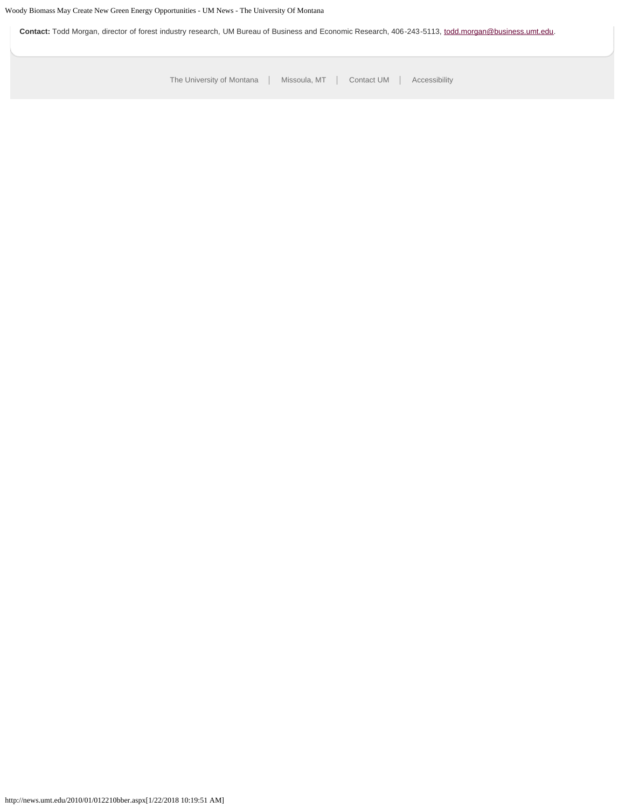**Contact:** Todd Morgan, director of forest industry research, UM Bureau of Business and Economic Research, 406-243-5113, [todd.morgan@business.umt.edu](mailto:todd.morgan@business.umt.edu).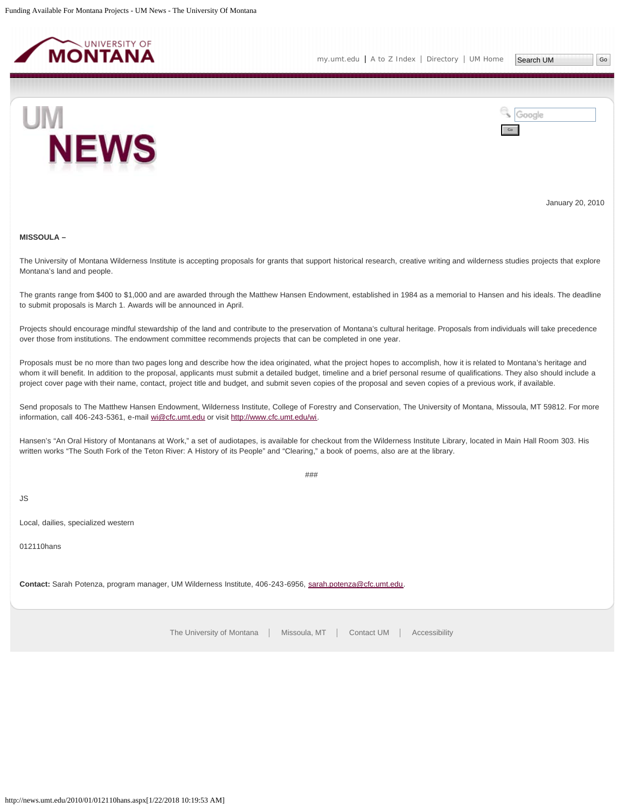<span id="page-28-0"></span>



January 20, 2010

# **MISSOULA –**

The University of Montana Wilderness Institute is accepting proposals for grants that support historical research, creative writing and wilderness studies projects that explore Montana's land and people.

The grants range from \$400 to \$1,000 and are awarded through the Matthew Hansen Endowment, established in 1984 as a memorial to Hansen and his ideals. The deadline to submit proposals is March 1. Awards will be announced in April.

Projects should encourage mindful stewardship of the land and contribute to the preservation of Montana's cultural heritage. Proposals from individuals will take precedence over those from institutions. The endowment committee recommends projects that can be completed in one year.

Proposals must be no more than two pages long and describe how the idea originated, what the project hopes to accomplish, how it is related to Montana's heritage and whom it will benefit. In addition to the proposal, applicants must submit a detailed budget, timeline and a brief personal resume of qualifications. They also should include a project cover page with their name, contact, project title and budget, and submit seven copies of the proposal and seven copies of a previous work, if available.

Send proposals to The Matthew Hansen Endowment, Wilderness Institute, College of Forestry and Conservation, The University of Montana, Missoula, MT 59812. For more information, call 406-243-5361, e-mail [wi@cfc.umt.edu](mailto:wi@cfc.umt.edu) or visit<http://www.cfc.umt.edu/wi>.

Hansen's "An Oral History of Montanans at Work," a set of audiotapes, is available for checkout from the Wilderness Institute Library, located in Main Hall Room 303. His written works "The South Fork of the Teton River: A History of its People" and "Clearing," a book of poems, also are at the library.

###

JS

Local, dailies, specialized western

012110hans

**Contact:** Sarah Potenza, program manager, UM Wilderness Institute, 406-243-6956, [sarah.potenza@cfc.umt.edu](mailto:sarah.potenza@cfc.umt.edu).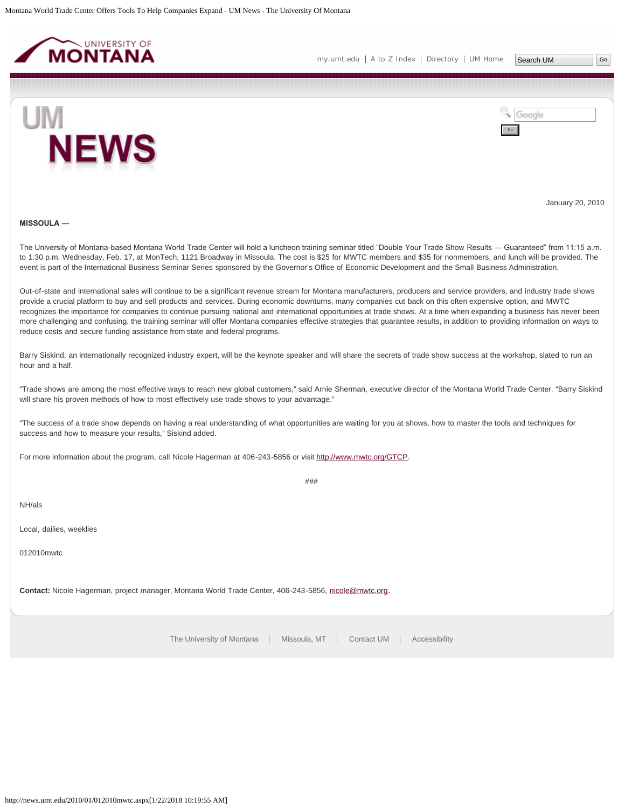<span id="page-29-0"></span>



January 20, 2010

# **MISSOULA ―**

The University of Montana-based Montana World Trade Center will hold a luncheon training seminar titled "Double Your Trade Show Results ― Guaranteed" from 11:15 a.m. to 1:30 p.m. Wednesday, Feb. 17, at MonTech, 1121 Broadway in Missoula. The cost is \$25 for MWTC members and \$35 for nonmembers, and lunch will be provided. The event is part of the International Business Seminar Series sponsored by the Governor's Office of Economic Development and the Small Business Administration.

Out-of-state and international sales will continue to be a significant revenue stream for Montana manufacturers, producers and service providers, and industry trade shows provide a crucial platform to buy and sell products and services. During economic downturns, many companies cut back on this often expensive option, and MWTC recognizes the importance for companies to continue pursuing national and international opportunities at trade shows. At a time when expanding a business has never been more challenging and confusing, the training seminar will offer Montana companies effective strategies that guarantee results, in addition to providing information on ways to reduce costs and secure funding assistance from state and federal programs.

Barry Siskind, an internationally recognized industry expert, will be the keynote speaker and will share the secrets of trade show success at the workshop, slated to run an hour and a half.

"Trade shows are among the most effective ways to reach new global customers," said Arnie Sherman, executive director of the Montana World Trade Center. "Barry Siskind will share his proven methods of how to most effectively use trade shows to your advantage."

"The success of a trade show depends on having a real understanding of what opportunities are waiting for you at shows, how to master the tools and techniques for success and how to measure your results," Siskind added.

For more information about the program, call Nicole Hagerman at 406-243-5856 or visit<http://www.mwtc.org/GTCP>.

###

NH/als

Local, dailies, weeklies

012010mwtc

**Contact:** Nicole Hagerman, project manager, Montana World Trade Center, 406-243-5856, [nicole@mwtc.org](mailto:nicole@mwtc.org).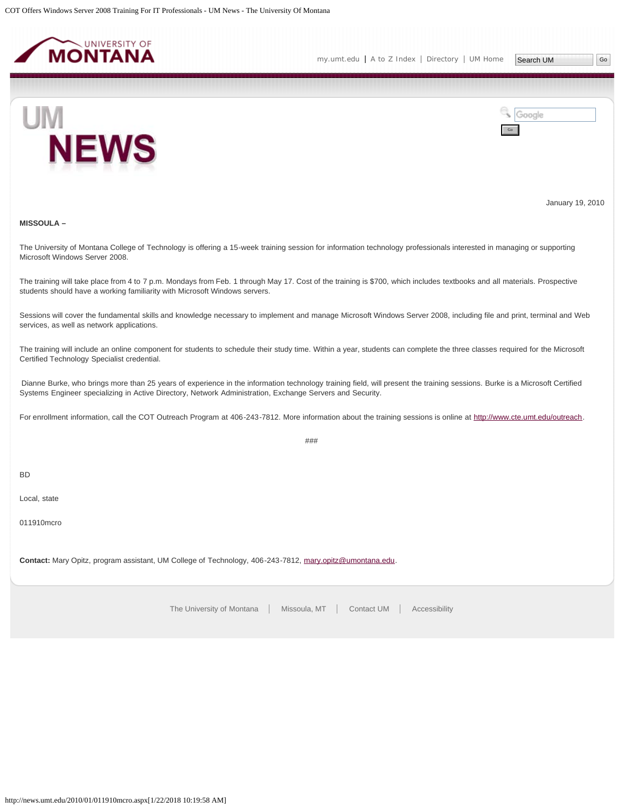<span id="page-30-0"></span>

[my.umt.edu](http://my.umt.edu/) | [A to Z Index](http://www.umt.edu/search/atoz/) | [Directory](http://www.umt.edu/directory/) | [UM Home](http://www.umt.edu/)

Go

Google



January 19, 2010

### **MISSOULA –**

The University of Montana College of Technology is offering a 15-week training session for information technology professionals interested in managing or supporting Microsoft Windows Server 2008.

The training will take place from 4 to 7 p.m. Mondays from Feb. 1 through May 17. Cost of the training is \$700, which includes textbooks and all materials. Prospective students should have a working familiarity with Microsoft Windows servers.

Sessions will cover the fundamental skills and knowledge necessary to implement and manage Microsoft Windows Server 2008, including file and print, terminal and Web services, as well as network applications.

The training will include an online component for students to schedule their study time. Within a year, students can complete the three classes required for the Microsoft Certified Technology Specialist credential.

Dianne Burke, who brings more than 25 years of experience in the information technology training field, will present the training sessions. Burke is a Microsoft Certified Systems Engineer specializing in Active Directory, Network Administration, Exchange Servers and Security.

For enrollment information, call the COT Outreach Program at 406-243-7812. More information about the training sessions is online at [http://www.cte.umt.edu/outreach.](http://www.cte.umt.edu/outreach)

###

BD

Local, state

011910mcro

**Contact:** Mary Opitz, program assistant, UM College of Technology, 406-243-7812, [mary.opitz@umontana.edu](mailto:mary.opitz@umontana.edu).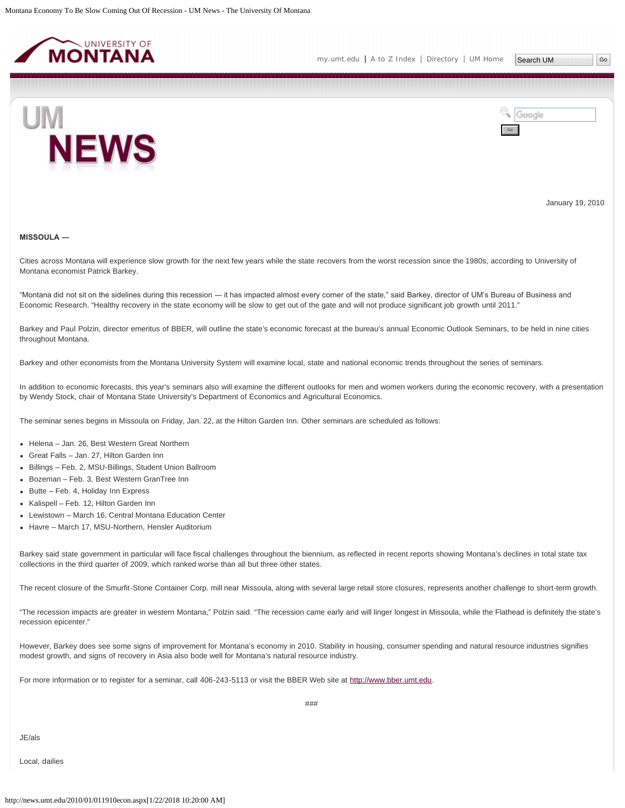<span id="page-31-0"></span>



January 19, 2010

#### **MISSOULA ―**

Cities across Montana will experience slow growth for the next few years while the state recovers from the worst recession since the 1980s, according to University of Montana economist Patrick Barkey.

"Montana did not sit on the sidelines during this recession ― it has impacted almost every corner of the state," said Barkey, director of UM's Bureau of Business and Economic Research. "Healthy recovery in the state economy will be slow to get out of the gate and will not produce significant job growth until 2011."

Barkey and Paul Polzin, director emeritus of BBER, will outline the state's economic forecast at the bureau's annual Economic Outlook Seminars, to be held in nine cities throughout Montana.

Barkey and other economists from the Montana University System will examine local, state and national economic trends throughout the series of seminars.

In addition to economic forecasts, this year's seminars also will examine the different outlooks for men and women workers during the economic recovery, with a presentation by Wendy Stock, chair of Montana State University's Department of Economics and Agricultural Economics.

The seminar series begins in Missoula on Friday, Jan. 22, at the Hilton Garden Inn. Other seminars are scheduled as follows:

- Helena Jan. 26, Best Western Great Northern
- Great Falls Jan. 27, Hilton Garden Inn
- Billings Feb. 2, MSU-Billings, Student Union Ballroom
- Bozeman Feb. 3, Best Western GranTree Inn
- $\bullet$  Butte Feb. 4, Holiday Inn Express
- Kalispell Feb. 12, Hilton Garden Inn
- Lewistown March 16, Central Montana Education Center
- Havre March 17, MSU-Northern, Hensler Auditorium

Barkey said state government in particular will face fiscal challenges throughout the biennium, as reflected in recent reports showing Montana's declines in total state tax collections in the third quarter of 2009, which ranked worse than all but three other states.

The recent closure of the Smurfit-Stone Container Corp. mill near Missoula, along with several large retail store closures, represents another challenge to short-term growth.

"The recession impacts are greater in western Montana," Polzin said. "The recession came early and will linger longest in Missoula, while the Flathead is definitely the state's recession epicenter."

However, Barkey does see some signs of improvement for Montana's economy in 2010. Stability in housing, consumer spending and natural resource industries signifies modest growth, and signs of recovery in Asia also bode well for Montana's natural resource industry.

For more information or to register for a seminar, call 406-243-5113 or visit the BBER Web site at [http://www.bber.umt.edu.](http://www.bber.umt.edu/)

JE/als

Local, dailies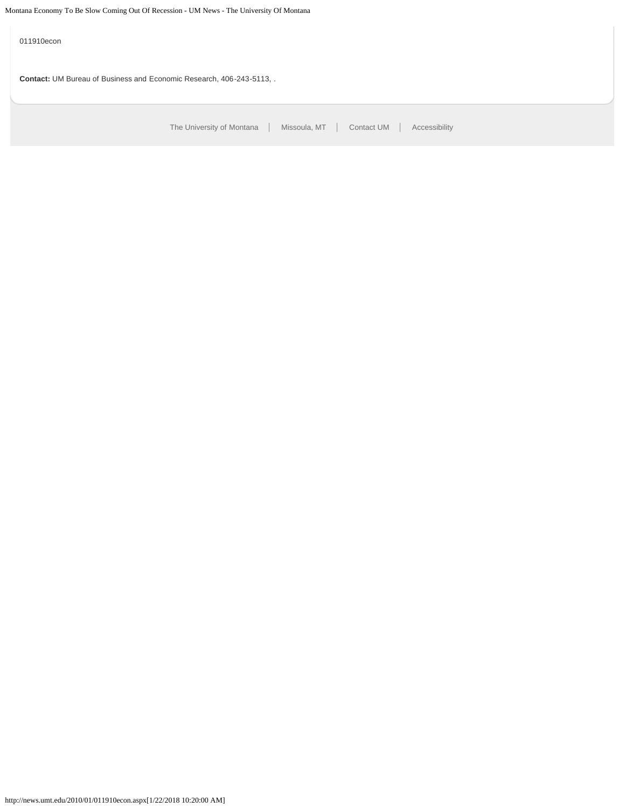[The University of Montana](http://www.umt.edu/) | Missoula, MT | [Contact UM](http://www.umt.edu/comments) | [Accessibility](http://www.umt.edu/home/accessibility) 011910econ **Contact:** UM Bureau of Business and Economic Research, 406-243-5113, .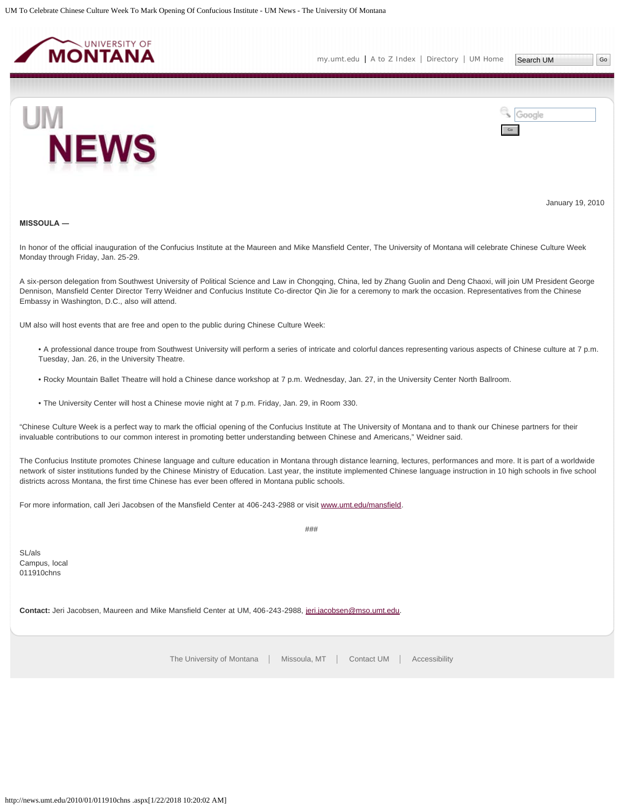<span id="page-33-0"></span>

[my.umt.edu](http://my.umt.edu/) | [A to Z Index](http://www.umt.edu/search/atoz/) | [Directory](http://www.umt.edu/directory/) | [UM Home](http://www.umt.edu/)



Go

Google



January 19, 2010

# **MISSOULA ―**

In honor of the official inauguration of the Confucius Institute at the Maureen and Mike Mansfield Center, The University of Montana will celebrate Chinese Culture Week Monday through Friday, Jan. 25-29.

A six-person delegation from Southwest University of Political Science and Law in Chongqing, China, led by Zhang Guolin and Deng Chaoxi, will join UM President George Dennison, Mansfield Center Director Terry Weidner and Confucius Institute Co-director Qin Jie for a ceremony to mark the occasion. Representatives from the Chinese Embassy in Washington, D.C., also will attend.

UM also will host events that are free and open to the public during Chinese Culture Week:

- A professional dance troupe from Southwest University will perform a series of intricate and colorful dances representing various aspects of Chinese culture at 7 p.m. Tuesday, Jan. 26, in the University Theatre.
- Rocky Mountain Ballet Theatre will hold a Chinese dance workshop at 7 p.m. Wednesday, Jan. 27, in the University Center North Ballroom.
- The University Center will host a Chinese movie night at 7 p.m. Friday, Jan. 29, in Room 330.

"Chinese Culture Week is a perfect way to mark the official opening of the Confucius Institute at The University of Montana and to thank our Chinese partners for their invaluable contributions to our common interest in promoting better understanding between Chinese and Americans," Weidner said.

The Confucius Institute promotes Chinese language and culture education in Montana through distance learning, lectures, performances and more. It is part of a worldwide network of sister institutions funded by the Chinese Ministry of Education. Last year, the institute implemented Chinese language instruction in 10 high schools in five school districts across Montana, the first time Chinese has ever been offered in Montana public schools.

###

For more information, call Jeri Jacobsen of the Mansfield Center at 406-243-2988 or visit [www.umt.edu/mansfield.](http://news.umt.edu/2010/01/www.umt.edu/mansfield)

SL/als Campus, local 011910chns

**Contact:** Jeri Jacobsen, Maureen and Mike Mansfield Center at UM, 406-243-2988, [jeri.jacobsen@mso.umt.edu.](mailto:jeri.jacobsen@mso.umt.edu)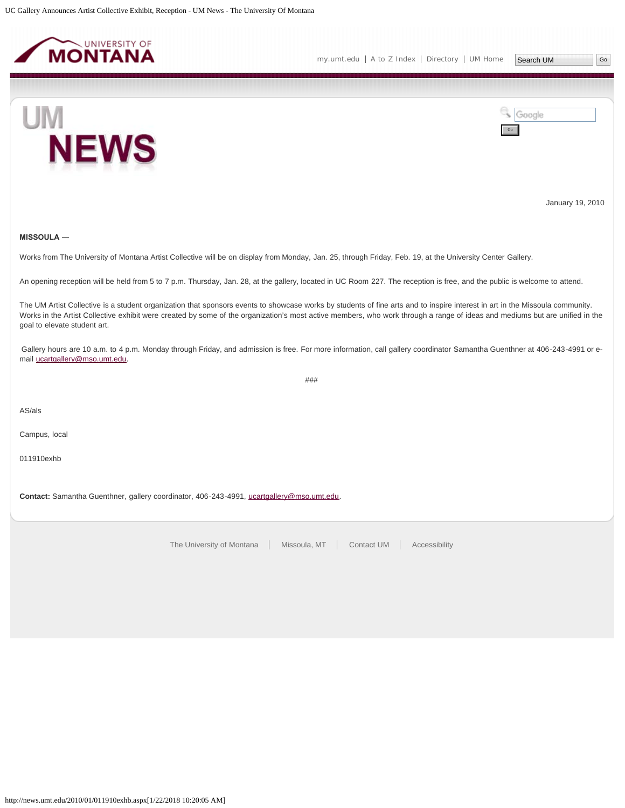<span id="page-34-0"></span>



Google



January 19, 2010

# **MISSOULA ―**

Works from The University of Montana Artist Collective will be on display from Monday, Jan. 25, through Friday, Feb. 19, at the University Center Gallery.

An opening reception will be held from 5 to 7 p.m. Thursday, Jan. 28, at the gallery, located in UC Room 227. The reception is free, and the public is welcome to attend.

The UM Artist Collective is a student organization that sponsors events to showcase works by students of fine arts and to inspire interest in art in the Missoula community. Works in the Artist Collective exhibit were created by some of the organization's most active members, who work through a range of ideas and mediums but are unified in the goal to elevate student art.

Gallery hours are 10 a.m. to 4 p.m. Monday through Friday, and admission is free. For more information, call gallery coordinator Samantha Guenthner at 406-243-4991 or email [ucartgallery@mso.umt.edu](mailto:ucartgallery@mso.umt.edu).

###

AS/als

Campus, local

011910exhb

Contact: Samantha Guenthner, gallery coordinator, 406-243-4991, [ucartgallery@mso.umt.edu.](mailto:ucartgallery@mso.umt.edu)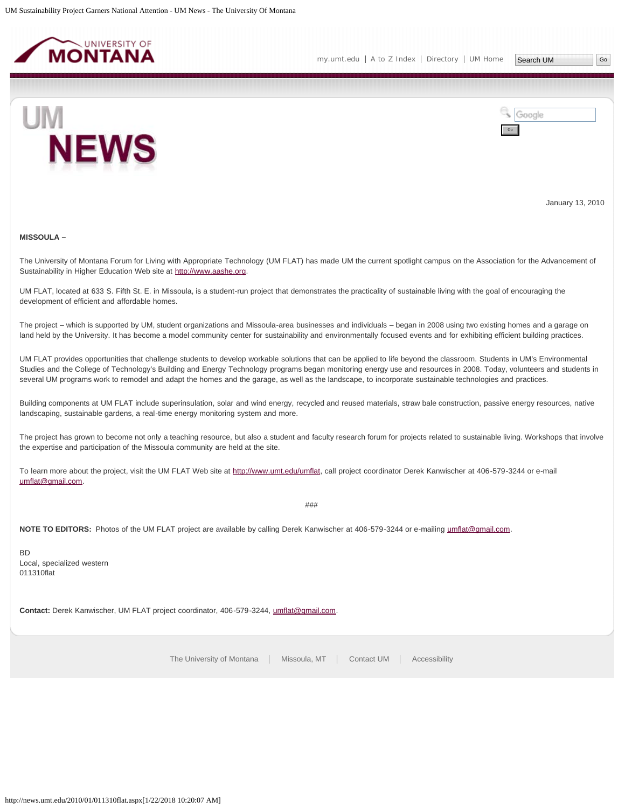<span id="page-35-0"></span>



January 13, 2010

#### **MISSOULA –**

The University of Montana Forum for Living with Appropriate Technology (UM FLAT) has made UM the current spotlight campus on the Association for the Advancement of Sustainability in Higher Education Web site at [http://www.aashe.org](http://www.aashe.org/).

UM FLAT, located at 633 S. Fifth St. E. in Missoula, is a student-run project that demonstrates the practicality of sustainable living with the goal of encouraging the development of efficient and affordable homes.

The project – which is supported by UM, student organizations and Missoula-area businesses and individuals – began in 2008 using two existing homes and a garage on land held by the University. It has become a model community center for sustainability and environmentally focused events and for exhibiting efficient building practices.

UM FLAT provides opportunities that challenge students to develop workable solutions that can be applied to life beyond the classroom. Students in UM's Environmental Studies and the College of Technology's Building and Energy Technology programs began monitoring energy use and resources in 2008. Today, volunteers and students in several UM programs work to remodel and adapt the homes and the garage, as well as the landscape, to incorporate sustainable technologies and practices.

Building components at UM FLAT include superinsulation, solar and wind energy, recycled and reused materials, straw bale construction, passive energy resources, native landscaping, sustainable gardens, a real-time energy monitoring system and more.

The project has grown to become not only a teaching resource, but also a student and faculty research forum for projects related to sustainable living. Workshops that involve the expertise and participation of the Missoula community are held at the site.

To learn more about the project, visit the UM FLAT Web site at [http://www.umt.edu/umflat,](http://www.umt.edu/umflat) call project coordinator Derek Kanwischer at 406-579-3244 or e-mail [umflat@gmail.com.](mailto:umflat@gmail.com)

###

**NOTE TO EDITORS:** Photos of the UM FLAT project are available by calling Derek Kanwischer at 406-579-3244 or e-mailing [umflat@gmail.com](mailto:umflat@gmail.com).

BD Local, specialized western 011310flat

Contact: Derek Kanwischer, UM FLAT project coordinator, 406-579-3244, [umflat@gmail.com.](mailto:umflat@gmail.com)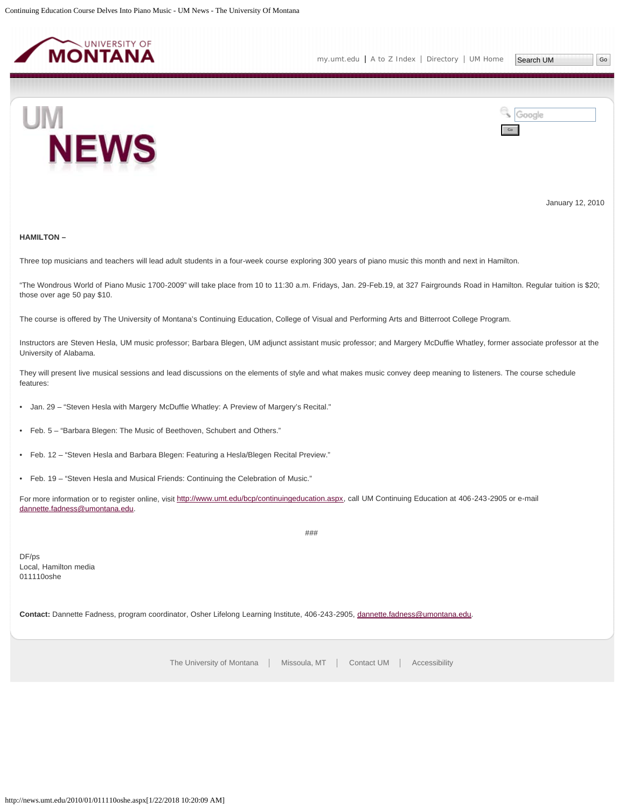<span id="page-36-0"></span>

Google



January 12, 2010

### **HAMILTON –**

Three top musicians and teachers will lead adult students in a four-week course exploring 300 years of piano music this month and next in Hamilton.

"The Wondrous World of Piano Music 1700-2009" will take place from 10 to 11:30 a.m. Fridays, Jan. 29-Feb.19, at 327 Fairgrounds Road in Hamilton. Regular tuition is \$20; those over age 50 pay \$10.

The course is offered by The University of Montana's Continuing Education, College of Visual and Performing Arts and Bitterroot College Program.

Instructors are Steven Hesla, UM music professor; Barbara Blegen, UM adjunct assistant music professor; and Margery McDuffie Whatley, former associate professor at the University of Alabama.

They will present live musical sessions and lead discussions on the elements of style and what makes music convey deep meaning to listeners. The course schedule features:

- Jan. 29 "Steven Hesla with Margery McDuffie Whatley: A Preview of Margery's Recital."
- Feb. 5 "Barbara Blegen: The Music of Beethoven, Schubert and Others."
- Feb. 12 "Steven Hesla and Barbara Blegen: Featuring a Hesla/Blegen Recital Preview."
- Feb. 19 "Steven Hesla and Musical Friends: Continuing the Celebration of Music."

For more information or to register online, visit<http://www.umt.edu/bcp/continuingeducation.aspx>, call UM Continuing Education at 406-243-2905 or e-mail [dannette.fadness@umontana.edu.](mailto:dannette.fadness@umontana.edu)

DF/ps Local, Hamilton media 011110oshe

**Contact:** Dannette Fadness, program coordinator, Osher Lifelong Learning Institute, 406-243-2905, [dannette.fadness@umontana.edu.](mailto:dannette.fadness@umontana.edu)

[The University of Montana](http://www.umt.edu/) | Missoula, MT | [Contact UM](http://www.umt.edu/comments) | [Accessibility](http://www.umt.edu/home/accessibility)

###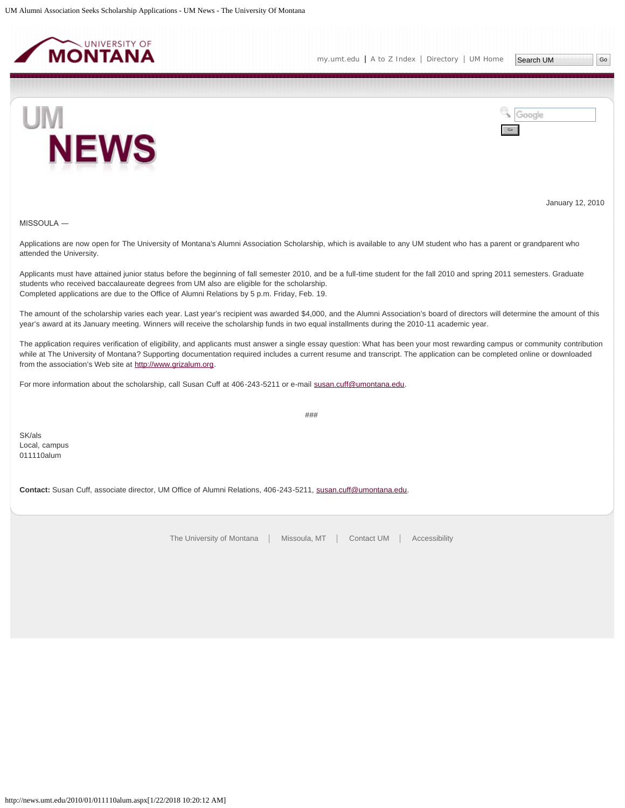<span id="page-37-0"></span>

[my.umt.edu](http://my.umt.edu/) | [A to Z Index](http://www.umt.edu/search/atoz/) | [Directory](http://www.umt.edu/directory/) | [UM Home](http://www.umt.edu/)

Search UM | Go

Go

Google



January 12, 2010

MISSOULA ―

Applications are now open for The University of Montana's Alumni Association Scholarship, which is available to any UM student who has a parent or grandparent who attended the University.

Applicants must have attained junior status before the beginning of fall semester 2010, and be a full-time student for the fall 2010 and spring 2011 semesters. Graduate students who received baccalaureate degrees from UM also are eligible for the scholarship. Completed applications are due to the Office of Alumni Relations by 5 p.m. Friday, Feb. 19.

The amount of the scholarship varies each year. Last year's recipient was awarded \$4,000, and the Alumni Association's board of directors will determine the amount of this year's award at its January meeting. Winners will receive the scholarship funds in two equal installments during the 2010-11 academic year.

The application requires verification of eligibility, and applicants must answer a single essay question: What has been your most rewarding campus or community contribution while at The University of Montana? Supporting documentation required includes a current resume and transcript. The application can be completed online or downloaded from the association's Web site at [http://www.grizalum.org.](http://www.grizalum.org/)

###

For more information about the scholarship, call Susan Cuff at 406-243-5211 or e-mail [susan.cuff@umontana.edu.](mailto:susan.cuff@umontana.edu)

SK/als Local, campus 011110alum

**Contact:** Susan Cuff, associate director, UM Office of Alumni Relations, 406-243-5211, [susan.cuff@umontana.edu.](mailto:susan.cuff@umontana.edu)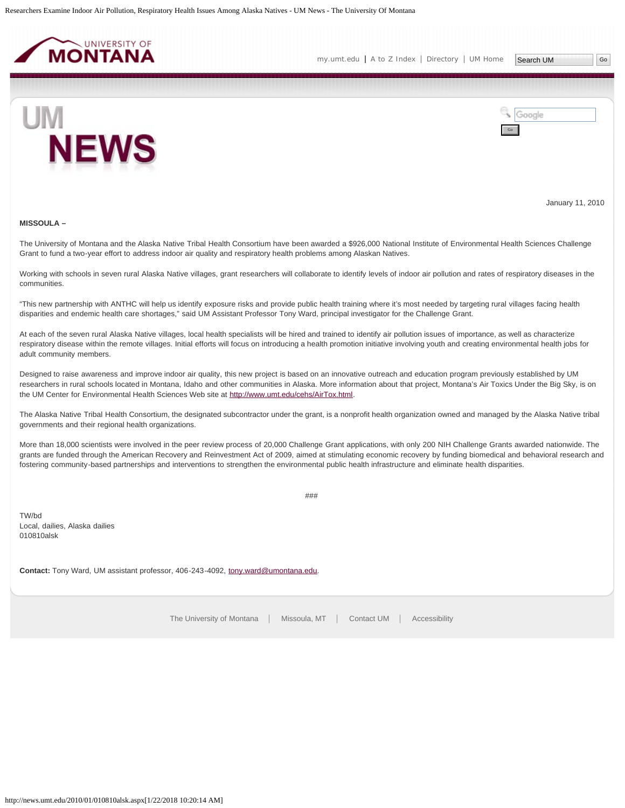<span id="page-38-0"></span>

[my.umt.edu](http://my.umt.edu/) | [A to Z Index](http://www.umt.edu/search/atoz/) | [Directory](http://www.umt.edu/directory/) | [UM Home](http://www.umt.edu/)

Search UM

Go

Google



January 11, 2010

#### **MISSOULA –**

The University of Montana and the Alaska Native Tribal Health Consortium have been awarded a \$926,000 National Institute of Environmental Health Sciences Challenge Grant to fund a two-year effort to address indoor air quality and respiratory health problems among Alaskan Natives.

Working with schools in seven rural Alaska Native villages, grant researchers will collaborate to identify levels of indoor air pollution and rates of respiratory diseases in the communities.

"This new partnership with ANTHC will help us identify exposure risks and provide public health training where it's most needed by targeting rural villages facing health disparities and endemic health care shortages," said UM Assistant Professor Tony Ward, principal investigator for the Challenge Grant.

At each of the seven rural Alaska Native villages, local health specialists will be hired and trained to identify air pollution issues of importance, as well as characterize respiratory disease within the remote villages. Initial efforts will focus on introducing a health promotion initiative involving youth and creating environmental health jobs for adult community members.

Designed to raise awareness and improve indoor air quality, this new project is based on an innovative outreach and education program previously established by UM researchers in rural schools located in Montana, Idaho and other communities in Alaska. More information about that project, Montana's Air Toxics Under the Big Sky, is on the UM Center for Environmental Health Sciences Web site at [http://www.umt.edu/cehs/AirTox.html.](#page-38-0)

The Alaska Native Tribal Health Consortium, the designated subcontractor under the grant, is a nonprofit health organization owned and managed by the Alaska Native tribal governments and their regional health organizations.

More than 18,000 scientists were involved in the peer review process of 20,000 Challenge Grant applications, with only 200 NIH Challenge Grants awarded nationwide. The grants are funded through the American Recovery and Reinvestment Act of 2009, aimed at stimulating economic recovery by funding biomedical and behavioral research and fostering community-based partnerships and interventions to strengthen the environmental public health infrastructure and eliminate health disparities.

###

TW/bd Local, dailies, Alaska dailies 010810alsk

**Contact:** Tony Ward, UM assistant professor, 406-243-4092, [tony.ward@umontana.edu.](mailto:tony.ward@umontana.edu)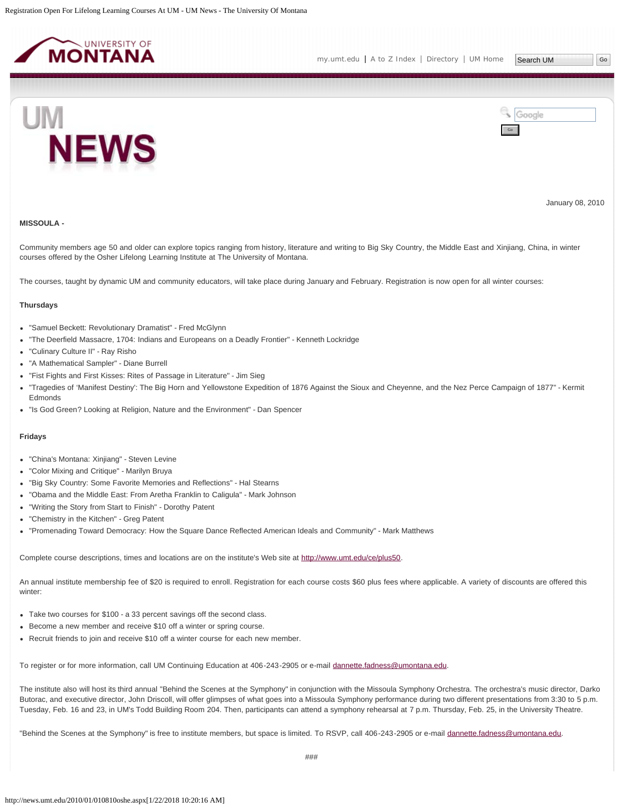<span id="page-39-0"></span>

Google

Go



January 08, 2010

# **MISSOULA -**

Community members age 50 and older can explore topics ranging from history, literature and writing to Big Sky Country, the Middle East and Xinjiang, China, in winter courses offered by the Osher Lifelong Learning Institute at The University of Montana.

The courses, taught by dynamic UM and community educators, will take place during January and February. Registration is now open for all winter courses:

### **Thursdays**

- "Samuel Beckett: Revolutionary Dramatist" Fred McGlynn
- "The Deerfield Massacre, 1704: Indians and Europeans on a Deadly Frontier" Kenneth Lockridge
- "Culinary Culture II" Ray Risho
- "A Mathematical Sampler" Diane Burrell
- "Fist Fights and First Kisses: Rites of Passage in Literature" Jim Sieg
- "Tragedies of 'Manifest Destiny': The Big Horn and Yellowstone Expedition of 1876 Against the Sioux and Cheyenne, and the Nez Perce Campaign of 1877" Kermit Edmonds
- "Is God Green? Looking at Religion, Nature and the Environment" Dan Spencer

### **Fridays**

- "China's Montana: Xinjiang" Steven Levine
- "Color Mixing and Critique" Marilyn Bruya
- "Big Sky Country: Some Favorite Memories and Reflections" Hal Stearns
- "Obama and the Middle East: From Aretha Franklin to Caligula" Mark Johnson
- "Writing the Story from Start to Finish" Dorothy Patent
- "Chemistry in the Kitchen" Greg Patent
- "Promenading Toward Democracy: How the Square Dance Reflected American Ideals and Community" Mark Matthews

Complete course descriptions, times and locations are on the institute's Web site at<http://www.umt.edu/ce/plus50>.

An annual institute membership fee of \$20 is required to enroll. Registration for each course costs \$60 plus fees where applicable. A variety of discounts are offered this winter:

- Take two courses for \$100 a 33 percent savings off the second class.
- Become a new member and receive \$10 off a winter or spring course.
- Recruit friends to join and receive \$10 off a winter course for each new member.

To register or for more information, call UM Continuing Education at 406-243-2905 or e-mail [dannette.fadness@umontana.edu.](mailto:dannette.fadness@umontana.edu)

The institute also will host its third annual "Behind the Scenes at the Symphony" in conjunction with the Missoula Symphony Orchestra. The orchestra's music director, Darko Butorac, and executive director, John Driscoll, will offer glimpses of what goes into a Missoula Symphony performance during two different presentations from 3:30 to 5 p.m. Tuesday, Feb. 16 and 23, in UM's Todd Building Room 204. Then, participants can attend a symphony rehearsal at 7 p.m. Thursday, Feb. 25, in the University Theatre.

"Behind the Scenes at the Symphony" is free to institute members, but space is limited. To RSVP, call 406-243-2905 or e-mail [dannette.fadness@umontana.edu.](mailto:dannette.fadness@umontana.edu)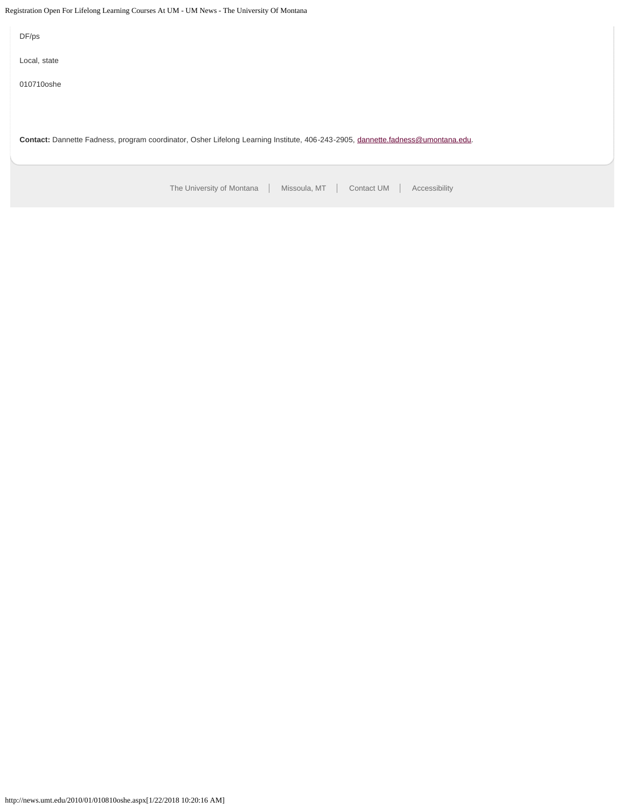Registration Open For Lifelong Learning Courses At UM - UM News - The University Of Montana

[The University of Montana](http://www.umt.edu/) | Missoula, MT | [Contact UM](http://www.umt.edu/comments) | [Accessibility](http://www.umt.edu/home/accessibility) DF/ps Local, state 010710oshe Contact: Dannette Fadness, program coordinator, Osher Lifelong Learning Institute, 406-243-2905, [dannette.fadness@umontana.edu.](mailto:dannette.fadness@umontana.edu)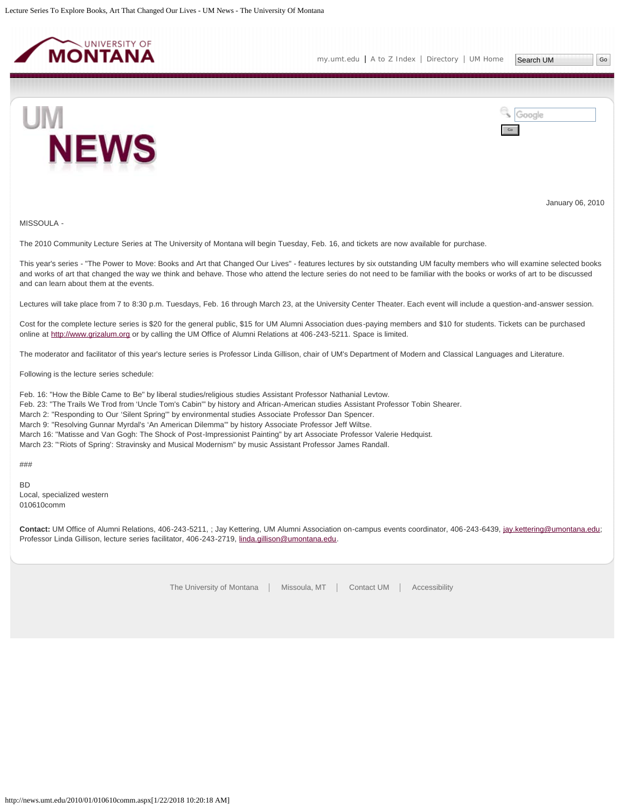<span id="page-41-0"></span>



January 06, 2010

#### MISSOULA -

The 2010 Community Lecture Series at The University of Montana will begin Tuesday, Feb. 16, and tickets are now available for purchase.

This year's series - "The Power to Move: Books and Art that Changed Our Lives" - features lectures by six outstanding UM faculty members who will examine selected books and works of art that changed the way we think and behave. Those who attend the lecture series do not need to be familiar with the books or works of art to be discussed and can learn about them at the events.

Lectures will take place from 7 to 8:30 p.m. Tuesdays, Feb. 16 through March 23, at the University Center Theater. Each event will include a question-and-answer session.

Cost for the complete lecture series is \$20 for the general public, \$15 for UM Alumni Association dues-paying members and \$10 for students. Tickets can be purchased online at [http://www.grizalum.org](http://www.grizalum.org/) or by calling the UM Office of Alumni Relations at 406-243-5211. Space is limited.

The moderator and facilitator of this year's lecture series is Professor Linda Gillison, chair of UM's Department of Modern and Classical Languages and Literature.

Following is the lecture series schedule:

Feb. 16: "How the Bible Came to Be" by liberal studies/religious studies Assistant Professor Nathanial Levtow.

Feb. 23: "The Trails We Trod from 'Uncle Tom's Cabin'" by history and African-American studies Assistant Professor Tobin Shearer.

March 2: "Responding to Our 'Silent Spring'" by environmental studies Associate Professor Dan Spencer.

March 9: "Resolving Gunnar Myrdal's 'An American Dilemma'" by history Associate Professor Jeff Wiltse.

March 16: "Matisse and Van Gogh: The Shock of Post-Impressionist Painting" by art Associate Professor Valerie Hedquist.

March 23: "'Riots of Spring': Stravinsky and Musical Modernism" by music Assistant Professor James Randall.

###

BD Local, specialized western 010610comm

**Contact:** UM Office of Alumni Relations, 406-243-5211, ; Jay Kettering, UM Alumni Association on-campus events coordinator, 406-243-6439, [jay.kettering@umontana.edu](mailto:jay.kettering@umontana.edu); Professor Linda Gillison, lecture series facilitator, 406-243-2719, [linda.gillison@umontana.edu.](mailto:linda.gillison@umontana.edu)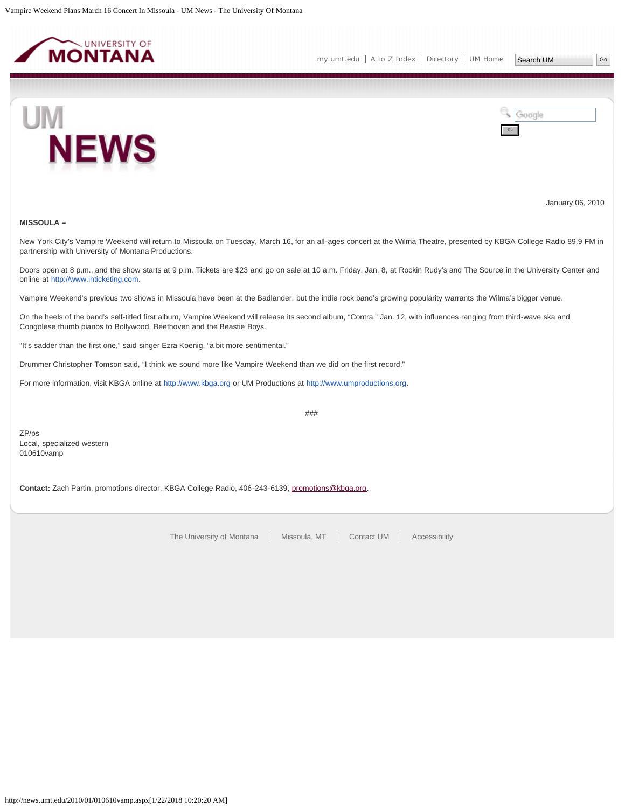<span id="page-42-0"></span>

[my.umt.edu](http://my.umt.edu/) | [A to Z Index](http://www.umt.edu/search/atoz/) | [Directory](http://www.umt.edu/directory/) | [UM Home](http://www.umt.edu/)

Go

Google



January 06, 2010

### **MISSOULA –**

New York City's Vampire Weekend will return to Missoula on Tuesday, March 16, for an all-ages concert at the Wilma Theatre, presented by KBGA College Radio 89.9 FM in partnership with University of Montana Productions.

Doors open at 8 p.m., and the show starts at 9 p.m. Tickets are \$23 and go on sale at 10 a.m. Friday, Jan. 8, at Rockin Rudy's and The Source in the University Center and online at [http://www.inticketing.com.](http://www.inticketing.com/)

Vampire Weekend's previous two shows in Missoula have been at the Badlander, but the indie rock band's growing popularity warrants the Wilma's bigger venue.

On the heels of the band's self-titled first album, Vampire Weekend will release its second album, "Contra," Jan. 12, with influences ranging from third-wave ska and Congolese thumb pianos to Bollywood, Beethoven and the Beastie Boys.

"It's sadder than the first one," said singer Ezra Koenig, "a bit more sentimental."

Drummer Christopher Tomson said, "I think we sound more like Vampire Weekend than we did on the first record."

For more information, visit KBGA online at [http://www.kbga.org](http://www.kbga.org/) or UM Productions at [http://www.umproductions.org](http://www.umproductions.org/).

ZP/ps Local, specialized western 010610vamp

**Contact:** Zach Partin, promotions director, KBGA College Radio, 406-243-6139, [promotions@kbga.org](mailto:promotions@kbga.org).

[The University of Montana](http://www.umt.edu/) | Missoula, MT | [Contact UM](http://www.umt.edu/comments) | [Accessibility](http://www.umt.edu/home/accessibility)

###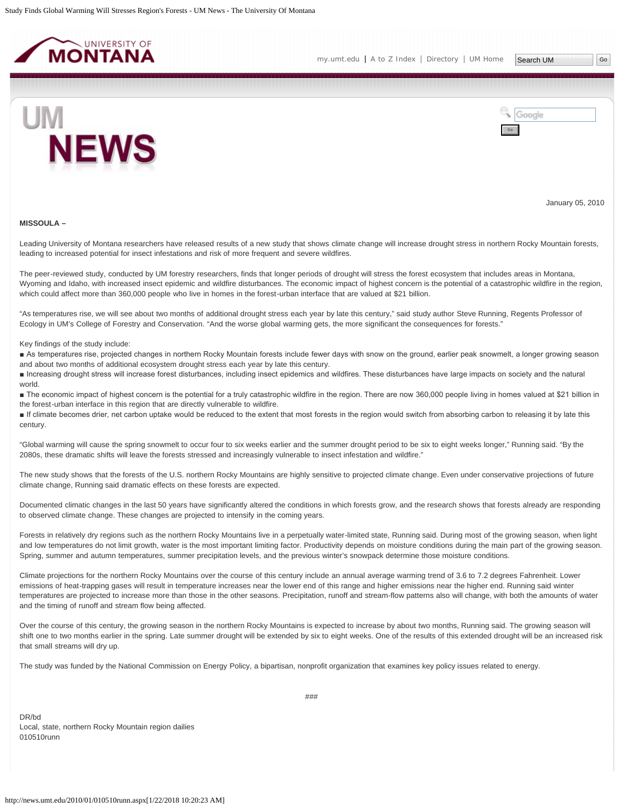<span id="page-43-0"></span>



January 05, 2010

# **MISSOULA –**

Leading University of Montana researchers have released results of a new study that shows climate change will increase drought stress in northern Rocky Mountain forests, leading to increased potential for insect infestations and risk of more frequent and severe wildfires.

The peer-reviewed study, conducted by UM forestry researchers, finds that longer periods of drought will stress the forest ecosystem that includes areas in Montana, Wyoming and Idaho, with increased insect epidemic and wildfire disturbances. The economic impact of highest concern is the potential of a catastrophic wildfire in the region, which could affect more than 360,000 people who live in homes in the forest-urban interface that are valued at \$21 billion.

"As temperatures rise, we will see about two months of additional drought stress each year by late this century," said study author Steve Running, Regents Professor of Ecology in UM's College of Forestry and Conservation. "And the worse global warming gets, the more significant the consequences for forests."

#### Key findings of the study include:

■ As temperatures rise, projected changes in northern Rocky Mountain forests include fewer days with snow on the ground, earlier peak snowmelt, a longer growing season and about two months of additional ecosystem drought stress each year by late this century.

■ Increasing drought stress will increase forest disturbances, including insect epidemics and wildfires. These disturbances have large impacts on society and the natural world.

■ The economic impact of highest concern is the potential for a truly catastrophic wildfire in the region. There are now 360,000 people living in homes valued at \$21 billion in the forest-urban interface in this region that are directly vulnerable to wildfire.

■ If climate becomes drier, net carbon uptake would be reduced to the extent that most forests in the region would switch from absorbing carbon to releasing it by late this century.

"Global warming will cause the spring snowmelt to occur four to six weeks earlier and the summer drought period to be six to eight weeks longer," Running said. "By the 2080s, these dramatic shifts will leave the forests stressed and increasingly vulnerable to insect infestation and wildfire."

The new study shows that the forests of the U.S. northern Rocky Mountains are highly sensitive to projected climate change. Even under conservative projections of future climate change, Running said dramatic effects on these forests are expected.

Documented climatic changes in the last 50 years have significantly altered the conditions in which forests grow, and the research shows that forests already are responding to observed climate change. These changes are projected to intensify in the coming years.

Forests in relatively dry regions such as the northern Rocky Mountains live in a perpetually water-limited state, Running said. During most of the growing season, when light and low temperatures do not limit growth, water is the most important limiting factor. Productivity depends on moisture conditions during the main part of the growing season. Spring, summer and autumn temperatures, summer precipitation levels, and the previous winter's snowpack determine those moisture conditions.

Climate projections for the northern Rocky Mountains over the course of this century include an annual average warming trend of 3.6 to 7.2 degrees Fahrenheit. Lower emissions of heat-trapping gases will result in temperature increases near the lower end of this range and higher emissions near the higher end. Running said winter temperatures are projected to increase more than those in the other seasons. Precipitation, runoff and stream-flow patterns also will change, with both the amounts of water and the timing of runoff and stream flow being affected.

Over the course of this century, the growing season in the northern Rocky Mountains is expected to increase by about two months, Running said. The growing season will shift one to two months earlier in the spring. Late summer drought will be extended by six to eight weeks. One of the results of this extended drought will be an increased risk that small streams will dry up.

The study was funded by the National Commission on Energy Policy, a bipartisan, nonprofit organization that examines key policy issues related to energy.

###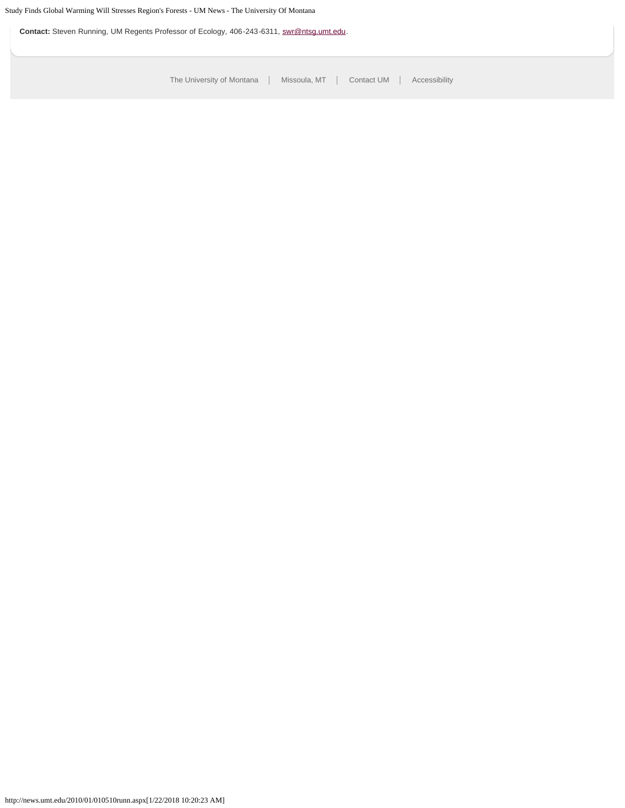**Contact:** Steven Running, UM Regents Professor of Ecology, 406-243-6311, [swr@ntsg.umt.edu](mailto:swr@ntsg.umt.edu).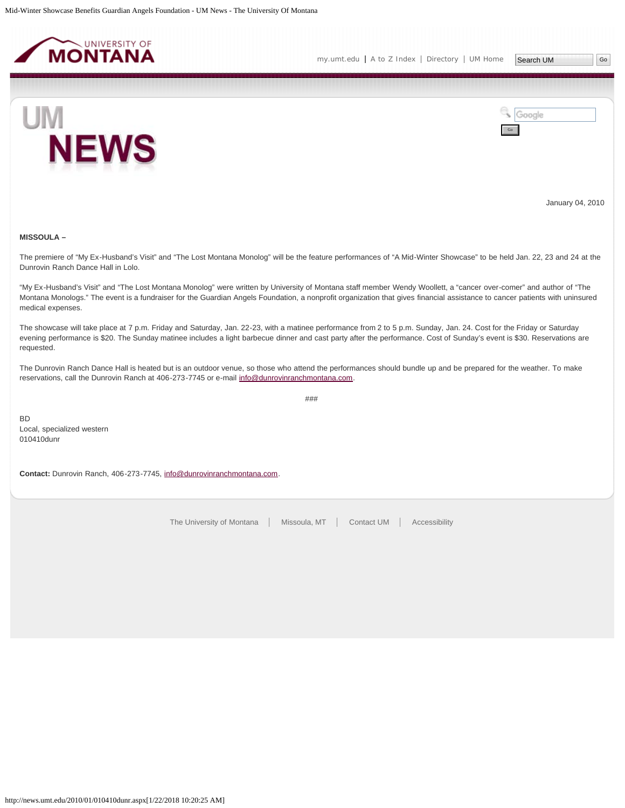<span id="page-45-0"></span>



January 04, 2010

### **MISSOULA –**

The premiere of "My Ex-Husband's Visit" and "The Lost Montana Monolog" will be the feature performances of "A Mid-Winter Showcase" to be held Jan. 22, 23 and 24 at the Dunrovin Ranch Dance Hall in Lolo.

"My Ex-Husband's Visit" and "The Lost Montana Monolog" were written by University of Montana staff member Wendy Woollett, a "cancer over-comer" and author of "The Montana Monologs." The event is a fundraiser for the Guardian Angels Foundation, a nonprofit organization that gives financial assistance to cancer patients with uninsured medical expenses.

The showcase will take place at 7 p.m. Friday and Saturday, Jan. 22-23, with a matinee performance from 2 to 5 p.m. Sunday, Jan. 24. Cost for the Friday or Saturday evening performance is \$20. The Sunday matinee includes a light barbecue dinner and cast party after the performance. Cost of Sunday's event is \$30. Reservations are requested.

The Dunrovin Ranch Dance Hall is heated but is an outdoor venue, so those who attend the performances should bundle up and be prepared for the weather. To make reservations, call the Dunrovin Ranch at 406-273-7745 or e-mail [info@dunrovinranchmontana.com.](mailto:info@dunrovinranchmontana.com)

###

BD Local, specialized western 010410dunr

**Contact:** Dunrovin Ranch, 406-273-7745, [info@dunrovinranchmontana.com.](mailto:info@dunrovinranchmontana.com)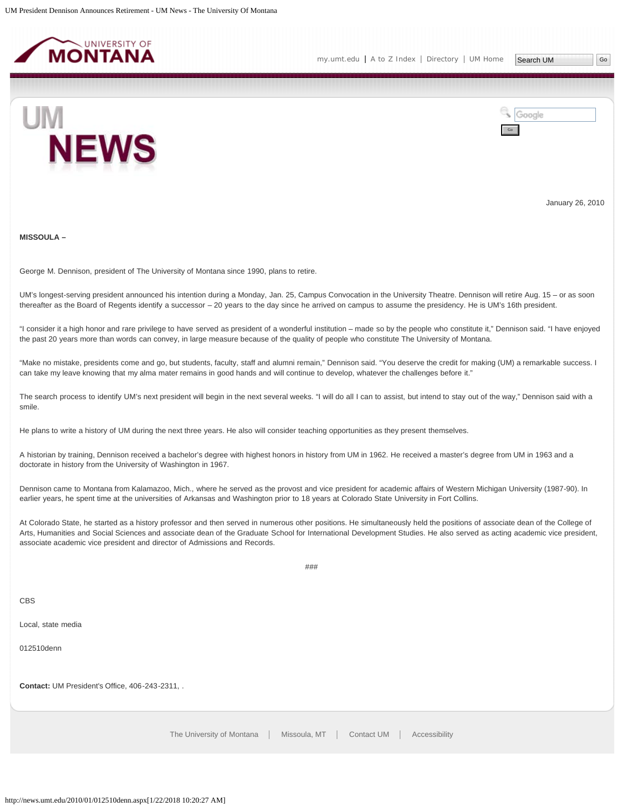<span id="page-46-0"></span>



January 26, 2010

**MISSOULA –**

George M. Dennison, president of The University of Montana since 1990, plans to retire.

UM's longest-serving president announced his intention during a Monday, Jan. 25, Campus Convocation in the University Theatre. Dennison will retire Aug. 15 – or as soon thereafter as the Board of Regents identify a successor – 20 years to the day since he arrived on campus to assume the presidency. He is UM's 16th president.

"I consider it a high honor and rare privilege to have served as president of a wonderful institution – made so by the people who constitute it," Dennison said. "I have enjoyed the past 20 years more than words can convey, in large measure because of the quality of people who constitute The University of Montana.

"Make no mistake, presidents come and go, but students, faculty, staff and alumni remain," Dennison said. "You deserve the credit for making (UM) a remarkable success. I can take my leave knowing that my alma mater remains in good hands and will continue to develop, whatever the challenges before it."

The search process to identify UM's next president will begin in the next several weeks. "I will do all I can to assist, but intend to stay out of the way," Dennison said with a smile.

He plans to write a history of UM during the next three years. He also will consider teaching opportunities as they present themselves.

A historian by training, Dennison received a bachelor's degree with highest honors in history from UM in 1962. He received a master's degree from UM in 1963 and a doctorate in history from the University of Washington in 1967.

Dennison came to Montana from Kalamazoo, Mich., where he served as the provost and vice president for academic affairs of Western Michigan University (1987-90). In earlier years, he spent time at the universities of Arkansas and Washington prior to 18 years at Colorado State University in Fort Collins.

At Colorado State, he started as a history professor and then served in numerous other positions. He simultaneously held the positions of associate dean of the College of Arts, Humanities and Social Sciences and associate dean of the Graduate School for International Development Studies. He also served as acting academic vice president, associate academic vice president and director of Admissions and Records.

###

CBS

Local, state media

012510denn

**Contact:** UM President's Office, 406-243-2311, .